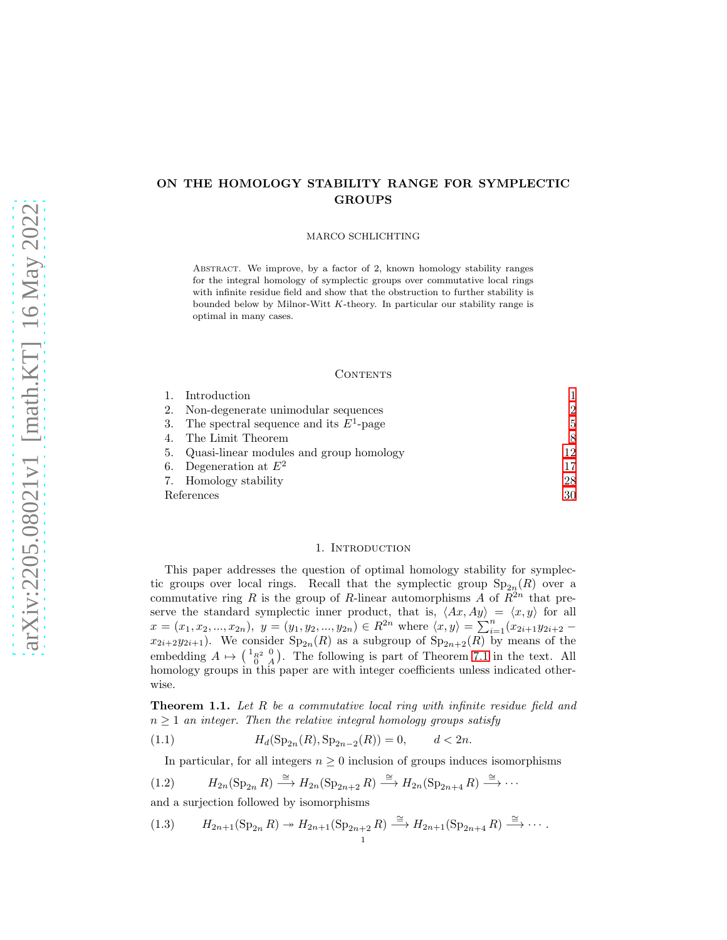# ON THE HOMOLOGY STABILITY RANGE FOR SYMPLECTIC GROUPS

### MARCO SCHLICHTING

Abstract. We improve, by a factor of 2, known homology stability ranges for the integral homology of symplectic groups over commutative local rings with infinite residue field and show that the obstruction to further stability is bounded below by Milnor-Witt  $K$ -theory. In particular our stability range is optimal in many cases.

### CONTENTS

|            | Introduction                               |                |
|------------|--------------------------------------------|----------------|
| 2.         | Non-degenerate unimodular sequences        | $\mathfrak{D}$ |
| 3.         | The spectral sequence and its $E^1$ -page  | 5.             |
|            | The Limit Theorem                          | 8              |
|            | 5. Quasi-linear modules and group homology | 12             |
| 6.         | Degeneration at $E^2$                      | 17             |
|            | 7. Homology stability                      | 28             |
| References |                                            | 30             |

## 1. INTRODUCTION

<span id="page-0-0"></span>This paper addresses the question of optimal homology stability for symplectic groups over local rings. Recall that the symplectic group  $Sp_{2n}(R)$  over a commutative ring R is the group of R-linear automorphisms A of  $\mathbb{R}^{2n}$  that preserve the standard symplectic inner product, that is,  $\langle Ax, Ay \rangle = \langle x, y \rangle$  for all  $x = (x_1, x_2, ..., x_{2n}), y = (y_1, y_2, ..., y_{2n}) \in R^{2n}$  where  $\langle x, y \rangle = \sum_{i=1}^{n} (x_{2i+1}y_{2i+2} - y_iy_{2i+1})$  $x_{2i+2}y_{2i+1}$ . We consider  $Sp_{2n}(R)$  as a subgroup of  $Sp_{2n+2}(R)$  by means of the embedding  $A \mapsto \begin{pmatrix} 1_{R^2} & 0 \\ 0 & A \end{pmatrix}$ . The following is part of Theorem [7.1](#page-27-1) in the text. All homology groups in this paper are with integer coefficients unless indicated otherwise.

<span id="page-0-4"></span>**Theorem 1.1.** Let  $R$  be a commutative local ring with infinite residue field and  $n \geq 1$  an integer. Then the relative integral homology groups satisfy

(1.1)  $H_d(\mathrm{Sp}_{2n}(R), \mathrm{Sp}_{2n-2}(R)) = 0, \qquad d < 2n.$ 

<span id="page-0-3"></span><span id="page-0-1"></span>In particular, for all integers  $n \geq 0$  inclusion of groups induces isomorphisms

(1.2) 
$$
H_{2n}(\mathrm{Sp}_{2n} R) \xrightarrow{\cong} H_{2n}(\mathrm{Sp}_{2n+2} R) \xrightarrow{\cong} H_{2n}(\mathrm{Sp}_{2n+4} R) \xrightarrow{\cong} \cdots
$$

and a surjection followed by isomorphisms

<span id="page-0-2"></span>(1.3) 
$$
H_{2n+1}(\mathrm{Sp}_{2n} R) \twoheadrightarrow H_{2n+1}(\mathrm{Sp}_{2n+2} R) \xrightarrow{\cong} H_{2n+1}(\mathrm{Sp}_{2n+4} R) \xrightarrow{\cong} \cdots
$$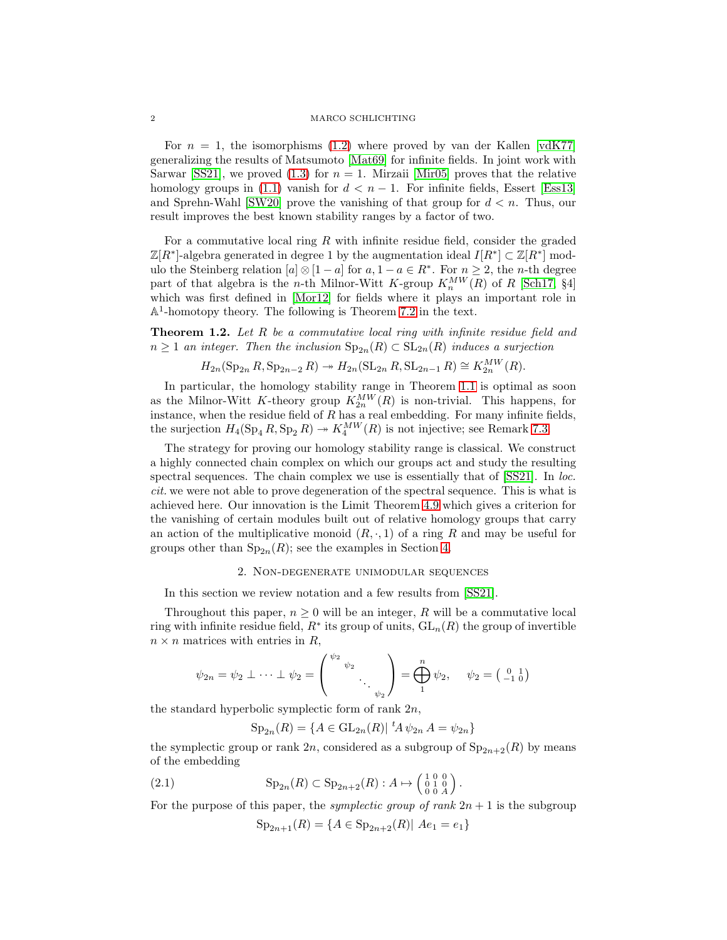### 2 MARCO SCHLICHTING

For  $n = 1$ , the isomorphisms [\(1.2\)](#page-0-1) where proved by van der Kallen [\[vdK77\]](#page-29-1) generalizing the results of Matsumoto [\[Mat69\]](#page-29-2) for infinite fields. In joint work with Sarwar [\[SS21\]](#page-29-3), we proved  $(1.3)$  for  $n = 1$ . Mirzaii [\[Mir05\]](#page-29-4) proves that the relative homology groups in [\(1.1\)](#page-0-3) vanish for  $d < n - 1$ . For infinite fields, Essert [\[Ess13\]](#page-29-5) and Sprehn-Wahl [\[SW20\]](#page-29-6) prove the vanishing of that group for  $d < n$ . Thus, our result improves the best known stability ranges by a factor of two.

For a commutative local ring  $R$  with infinite residue field, consider the graded  $\mathbb{Z}[R^*]$ -algebra generated in degree 1 by the augmentation ideal  $I[R^*] \subset \mathbb{Z}[R^*]$  modulo the Steinberg relation  $[a] \otimes [1-a]$  for  $a, 1-a \in \mathbb{R}^*$ . For  $n \geq 2$ , the *n*-th degree part of that algebra is the *n*-th Milnor-Witt K-group  $K_n^{MW}(R)$  of R [\[Sch17,](#page-29-7) §4] which was first defined in [\[Mor12\]](#page-29-8) for fields where it plays an important role in A 1 -homotopy theory. The following is Theorem [7.2](#page-28-0) in the text.

<span id="page-1-2"></span>**Theorem 1.2.** Let R be a commutative local ring with infinite residue field and  $n \geq 1$  an integer. Then the inclusion  $\text{Sp}_{2n}(R) \subset \text{SL}_{2n}(R)$  induces a surjection

$$
H_{2n}(\mathrm{Sp}_{2n} R, \mathrm{Sp}_{2n-2} R) \twoheadrightarrow H_{2n}(\mathrm{SL}_{2n} R, \mathrm{SL}_{2n-1} R) \cong K_{2n}^{MW}(R).
$$

In particular, the homology stability range in Theorem [1.1](#page-0-4) is optimal as soon as the Milnor-Witt K-theory group  $K_{2n}^{MW}(R)$  is non-trivial. This happens, for instance, when the residue field of  $R$  has a real embedding. For many infinite fields, the surjection  $H_4(\mathrm{Sp}_4 R, \mathrm{Sp}_2 R) \twoheadrightarrow K_4^{MW}(R)$  is not injective; see Remark [7.3.](#page-28-1)

The strategy for proving our homology stability range is classical. We construct a highly connected chain complex on which our groups act and study the resulting spectral sequences. The chain complex we use is essentially that of [\[SS21\]](#page-29-3). In loc. cit. we were not able to prove degeneration of the spectral sequence. This is what is achieved here. Our innovation is the Limit Theorem [4.9](#page-10-0) which gives a criterion for the vanishing of certain modules built out of relative homology groups that carry an action of the multiplicative monoid  $(R, \cdot, 1)$  of a ring R and may be useful for groups other than  $Sp_{2n}(R)$ ; see the examples in Section [4.](#page-7-0)

## 2. Non-degenerate unimodular sequences

<span id="page-1-0"></span>In this section we review notation and a few results from [\[SS21\]](#page-29-3).

Throughout this paper,  $n \geq 0$  will be an integer, R will be a commutative local ring with infinite residue field,  $R^*$  its group of units,  $\operatorname{GL}_n(R)$  the group of invertible  $n \times n$  matrices with entries in R,

$$
\psi_{2n} = \psi_2 \perp \cdots \perp \psi_2 = \begin{pmatrix} \psi_2 & \psi_2 \\ \vdots & \ddots \\ \vdots & \vdots \\ \psi_2 \end{pmatrix} = \bigoplus_{1}^{n} \psi_2, \quad \psi_2 = \begin{pmatrix} 0 & 1 \\ -1 & 0 \end{pmatrix}
$$

the standard hyperbolic symplectic form of rank  $2n$ ,

$$
Sp_{2n}(R) = \{ A \in GL_{2n}(R) | {}^{t}A \psi_{2n} A = \psi_{2n} \}
$$

the symplectic group or rank  $2n$ , considered as a subgroup of  $Sp_{2n+2}(R)$  by means of the embedding

(2.1) Sp2<sup>n</sup> (R) ⊂ Sp2n+2(R) : A 7→ 1 0 0 0 1 0 0 0 A .

For the purpose of this paper, the *symplectic group of rank*  $2n + 1$  is the subgroup

<span id="page-1-1"></span>
$$
Sp_{2n+1}(R) = \{ A \in Sp_{2n+2}(R) | Ae_1 = e_1 \}
$$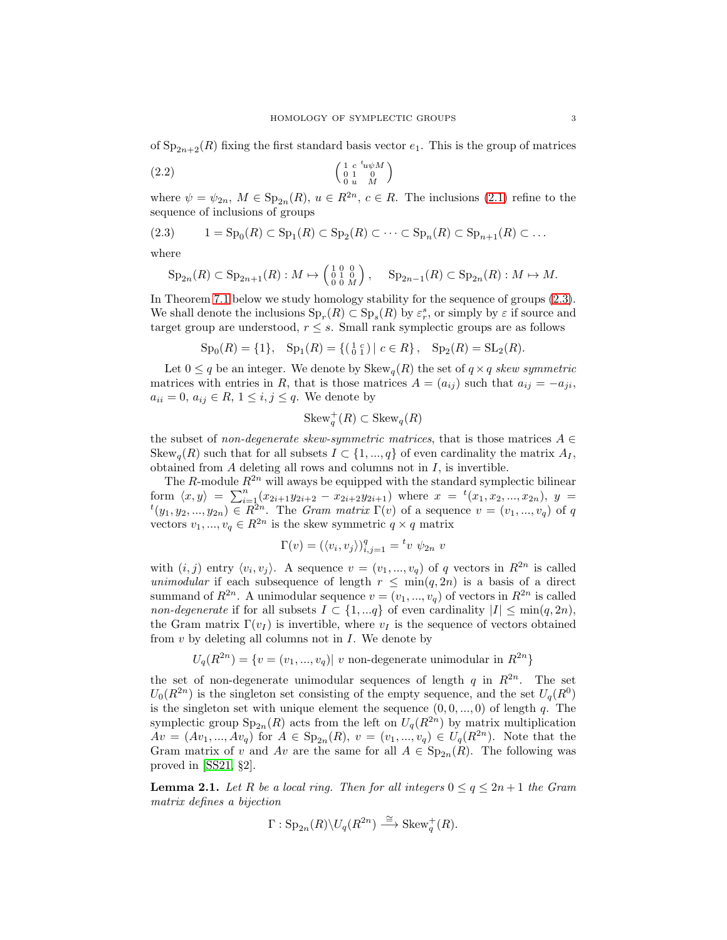of  $Sp_{2n+2}(R)$  fixing the first standard basis vector  $e_1$ . This is the group of matrices

$$
\begin{pmatrix}\n1 & c & ^t u \psi M \\
0 & 1 & 0 \\
0 & u & M\n\end{pmatrix}
$$

where  $\psi = \psi_{2n}$ ,  $M \in \text{Sp}_{2n}(R)$ ,  $u \in R^{2n}$ ,  $c \in R$ . The inclusions [\(2.1\)](#page-1-1) refine to the sequence of inclusions of groups

$$
(2.3) \qquad 1 = \mathrm{Sp}_0(R) \subset \mathrm{Sp}_1(R) \subset \mathrm{Sp}_2(R) \subset \cdots \subset \mathrm{Sp}_n(R) \subset \mathrm{Sp}_{n+1}(R) \subset \ldots
$$

where

<span id="page-2-0"></span>
$$
\operatorname{Sp}_{2n}(R) \subset \operatorname{Sp}_{2n+1}(R) : M \mapsto \begin{pmatrix} 1 & 0 & 0 \\ 0 & 1 & 0 \\ 0 & 0 & M \end{pmatrix}, \quad \operatorname{Sp}_{2n-1}(R) \subset \operatorname{Sp}_{2n}(R) : M \mapsto M.
$$

In Theorem [7.1](#page-27-1) below we study homology stability for the sequence of groups [\(2.3\)](#page-2-0). We shall denote the inclusions  $\text{Sp}_r(R) \subset \text{Sp}_s(R)$  by  $\varepsilon_r^s$ , or simply by  $\varepsilon$  if source and target group are understood,  $r \leq s$ . Small rank symplectic groups are as follows

$$
Sp_0(R) = \{1\}, Sp_1(R) = \{(\begin{smallmatrix} 1 & c \\ 0 & 1 \end{smallmatrix}) \mid c \in R\}, Sp_2(R) = SL_2(R).
$$

Let  $0 \leq q$  be an integer. We denote by  $Skew<sub>q</sub>(R)$  the set of  $q \times q$  skew symmetric matrices with entries in R, that is those matrices  $A = (a_{ij})$  such that  $a_{ij} = -a_{ji}$ ,  $a_{ii} = 0, a_{ij} \in R, 1 \le i, j \le q$ . We denote by

$$
Skew_q^+(R) \subset Skew_q(R)
$$

the subset of non-degenerate skew-symmetric matrices, that is those matrices  $A \in$ Skew<sub>q</sub>(R) such that for all subsets  $I \subset \{1, ..., q\}$  of even cardinality the matrix  $A_I$ , obtained from  $A$  deleting all rows and columns not in  $I$ , is invertible.

The R-module  $R^{2n}$  will aways be equipped with the standard symplectic bilinear form  $\langle x, y \rangle = \sum_{i=1}^{n} (x_{2i+1}y_{2i+2} - x_{2i+2}y_{2i+1})$  where  $x = {}^{t}(x_1, x_2, ..., x_{2n}), y = {}^{t}(y_1, y_2, ..., y_{2n}) \in R^{2n}$ . The *Gram matrix*  $\Gamma(v)$  of a sequence  $v = (v_1, ..., v_q)$  of q vectors  $v_1, ..., v_q \in R^{2n}$  is the skew symmetric  $q \times q$  matrix

$$
\Gamma(v) = (\langle v_i, v_j \rangle)_{i,j=1}^q = {}^t v \psi_{2n} v
$$

with  $(i, j)$  entry  $\langle v_i, v_j \rangle$ . A sequence  $v = (v_1, ..., v_q)$  of q vectors in  $\mathbb{R}^{2n}$  is called unimodular if each subsequence of length  $r \leq \min(q, 2n)$  is a basis of a direct summand of  $R^{2n}$ . A unimodular sequence  $v = (v_1, ..., v_q)$  of vectors in  $R^{2n}$  is called non-degenerate if for all subsets  $I \subset \{1, \ldots q\}$  of even cardinality  $|I| \leq \min(q, 2n)$ , the Gram matrix  $\Gamma(v_I)$  is invertible, where  $v_I$  is the sequence of vectors obtained from  $v$  by deleting all columns not in  $I$ . We denote by

$$
U_q(R^{2n}) = \{v = (v_1, ..., v_q) | v \text{ non-degenerate unimodular in } R^{2n}\}\
$$

the set of non-degenerate unimodular sequences of length  $q$  in  $R^{2n}$ . The set  $U_0(R^{2n})$  is the singleton set consisting of the empty sequence, and the set  $U_q(R^0)$ is the singleton set with unique element the sequence  $(0, 0, ..., 0)$  of length q. The symplectic group  $Sp_{2n}(R)$  acts from the left on  $U_q(R^{2n})$  by matrix multiplication  $Av = (Av_1, ..., Av_q)$  for  $A \in \mathrm{Sp}_{2n}(R), v = (v_1, ..., v_q) \in U_q(R^{2n}).$  Note that the Gram matrix of v and Av are the same for all  $A \in \text{Sp}_{2n}(R)$ . The following was proved in [\[SS21,](#page-29-3) §2].

<span id="page-2-1"></span>**Lemma 2.1.** Let R be a local ring. Then for all integers  $0 \le q \le 2n+1$  the Gram matrix defines a bijection

$$
\Gamma: \mathrm{Sp}_{2n}(R)\backslash U_q(R^{2n})\stackrel{\cong}{\longrightarrow} \mathrm{Skew}_q^+(R).
$$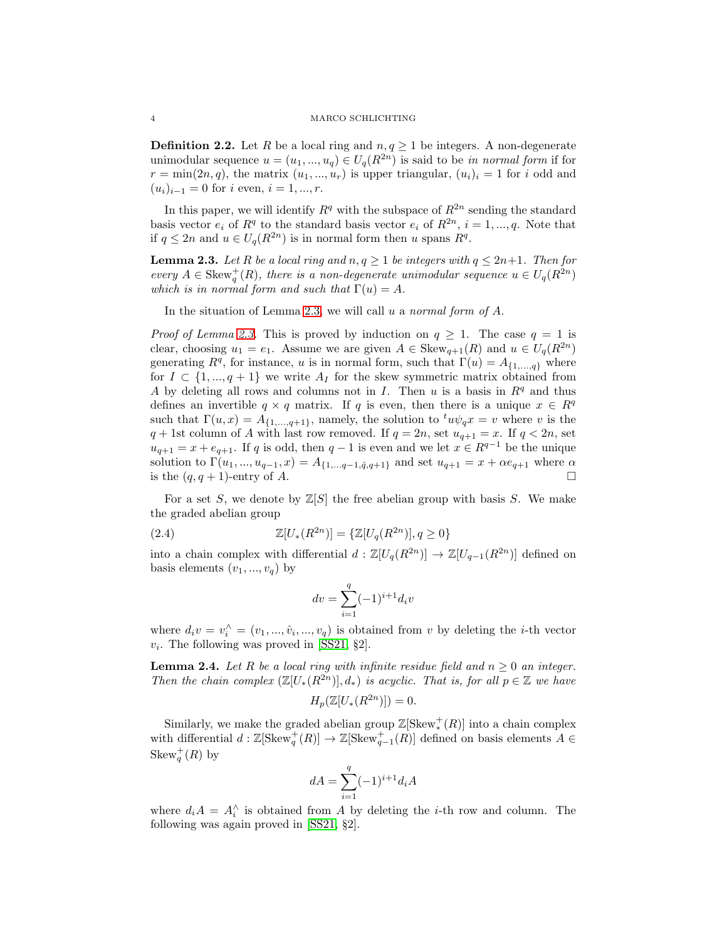**Definition 2.2.** Let R be a local ring and  $n, q \ge 1$  be integers. A non-degenerate unimodular sequence  $u = (u_1, ..., u_q) \in U_q(R^{2n})$  is said to be in normal form if for  $r = \min(2n, q)$ , the matrix  $(u_1, ..., u_r)$  is upper triangular,  $(u_i)_i = 1$  for i odd and  $(u_i)_{i-1} = 0$  for i even,  $i = 1, ..., r$ .

In this paper, we will identify  $R<sup>q</sup>$  with the subspace of  $R<sup>2n</sup>$  sending the standard basis vector  $e_i$  of  $R^q$  to the standard basis vector  $e_i$  of  $R^{2n}$ ,  $i = 1, ..., q$ . Note that if  $q \leq 2n$  and  $u \in U_q(R^{2n})$  is in normal form then u spans  $R^q$ .

<span id="page-3-0"></span>**Lemma 2.3.** Let R be a local ring and  $n, q \ge 1$  be integers with  $q \le 2n+1$ . Then for every  $A \in \text{Skew}_q^+(R)$ , there is a non-degenerate unimodular sequence  $u \in U_q(R^{2n})$ which is in normal form and such that  $\Gamma(u) = A$ .

In the situation of Lemma [2.3,](#page-3-0) we will call  $u$  a normal form of  $A$ .

*Proof of Lemma [2.3.](#page-3-0)* This is proved by induction on  $q \geq 1$ . The case  $q = 1$  is clear, choosing  $u_1 = e_1$ . Assume we are given  $A \in \text{Skew}_{q+1}(R)$  and  $u \in U_q(R^{2n})$ generating  $R^q$ , for instance, u is in normal form, such that  $\Gamma(u) = A_{\{1,\ldots,q\}}$  where for  $I \subset \{1, ..., q + 1\}$  we write  $A_I$  for the skew symmetric matrix obtained from A by deleting all rows and columns not in I. Then u is a basis in  $\mathbb{R}^q$  and thus defines an invertible  $q \times q$  matrix. If q is even, then there is a unique  $x \in R^q$ such that  $\Gamma(u, x) = A_{\{1,\dots,q+1\}}$ , namely, the solution to  $^t u \psi_q x = v$  where v is the  $q + 1$ st column of A with last row removed. If  $q = 2n$ , set  $u_{q+1} = x$ . If  $q < 2n$ , set  $u_{q+1} = x + e_{q+1}$ . If q is odd, then  $q-1$  is even and we let  $x \in R^{q-1}$  be the unique solution to  $\Gamma(u_1, ..., u_{q-1}, x) = A_{\{1, ..., q-1, \hat{q}, q+1\}}$  and set  $u_{q+1} = x + \alpha e_{q+1}$  where  $\alpha$ is the  $(q, q + 1)$ -entry of A.

For a set S, we denote by  $\mathbb{Z}[S]$  the free abelian group with basis S. We make the graded abelian group

(2.4) 
$$
\mathbb{Z}[U_*(R^{2n})] = \{\mathbb{Z}[U_q(R^{2n})], q \ge 0\}
$$

into a chain complex with differential  $d : \mathbb{Z}[U_q(R^{2n})] \to \mathbb{Z}[U_{q-1}(R^{2n})]$  defined on basis elements  $(v_1, ..., v_q)$  by

$$
dv = \sum_{i=1}^{q} (-1)^{i+1} d_i v
$$

where  $d_i v = v_i^{\wedge} = (v_1, ..., \hat{v}_i, ..., v_q)$  is obtained from v by deleting the *i*-th vector  $v_i$ . The following was proved in [\[SS21,](#page-29-3) §2].

<span id="page-3-1"></span>**Lemma 2.4.** Let R be a local ring with infinite residue field and  $n \geq 0$  an integer. Then the chain complex  $(\mathbb{Z}[U_*(R^{2n})], d_*)$  is acyclic. That is, for all  $p \in \mathbb{Z}$  we have

$$
H_p(\mathbb{Z}[U_*(R^{2n})]) = 0.
$$

Similarly, we make the graded abelian group  $\mathbb{Z}[\operatorname{Skew}^+_*(R)]$  into a chain complex with differential  $d: \mathbb{Z}[\text{Skew}^+_q(R)] \to \mathbb{Z}[\text{Skew}^+_{q-1}(R)]$  defined on basis elements  $A \in$ Skew<sup>+</sup><sub>q</sub> $(R)$  by

$$
dA = \sum_{i=1}^q (-1)^{i+1} d_i A
$$

where  $d_i A = A_i^{\wedge}$  is obtained from A by deleting the *i*-th row and column. The following was again proved in [\[SS21,](#page-29-3) §2].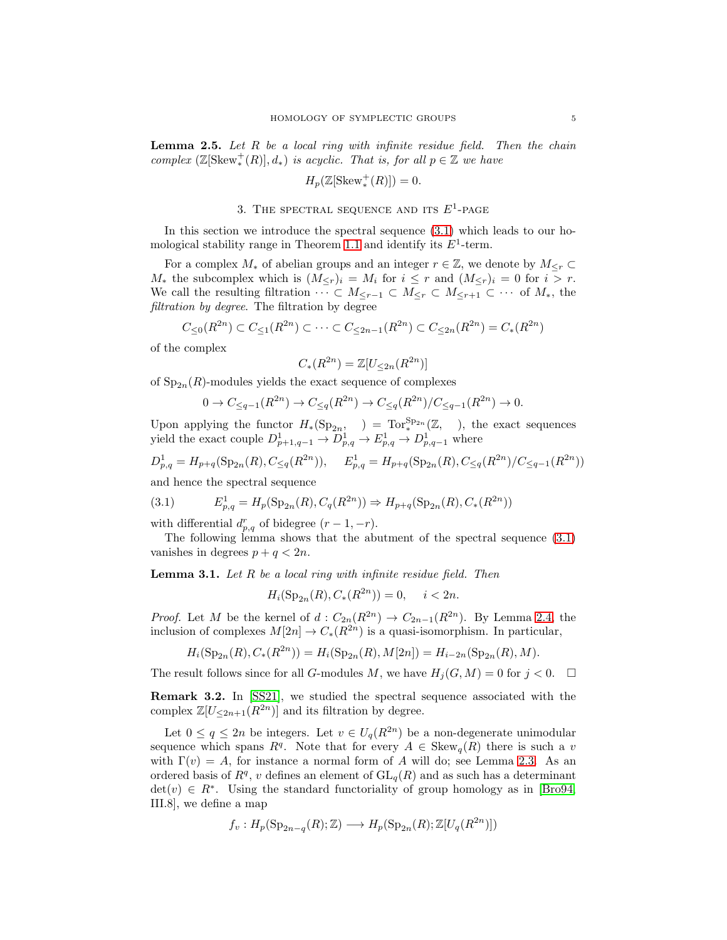<span id="page-4-2"></span>**Lemma 2.5.** Let  $R$  be a local ring with infinite residue field. Then the chain complex  $(\mathbb{Z}[\text{Skew}^+_*(R)], d_*)$  is acyclic. That is, for all  $p \in \mathbb{Z}$  we have

$$
H_p(\mathbb{Z}[\operatorname{Skew}^+_*(R)]) = 0.
$$

# 3. THE SPECTRAL SEQUENCE AND ITS  $E^1$ -PAGE

<span id="page-4-0"></span>In this section we introduce the spectral sequence [\(3.1\)](#page-4-1) which leads to our ho-mological stability range in Theorem [1.1](#page-0-4) and identify its  $E^1$ -term.

For a complex  $M_*$  of abelian groups and an integer  $r \in \mathbb{Z}$ , we denote by  $M_{\leq r} \subset$  $M_*$  the subcomplex which is  $(M_{\leq r})_i = M_i$  for  $i \leq r$  and  $(M_{\leq r})_i = 0$  for  $i > r$ . We call the resulting filtration  $\cdots \subset M_{\leq r-1} \subset M_{\leq r} \subset M_{\leq r+1} \subset \cdots$  of  $M_*$ , the filtration by degree. The filtration by degree

$$
C_{\leq 0}(R^{2n}) \subset C_{\leq 1}(R^{2n}) \subset \cdots \subset C_{\leq 2n-1}(R^{2n}) \subset C_{\leq 2n}(R^{2n}) = C_*(R^{2n})
$$

of the complex

$$
C_*(R^{2n}) = \mathbb{Z}[U_{\leq 2n}(R^{2n})]
$$

of  $Sp_{2n}(R)$ -modules yields the exact sequence of complexes

$$
0 \to C_{\leq q-1}(R^{2n}) \to C_{\leq q}(R^{2n}) \to C_{\leq q}(R^{2n})/C_{\leq q-1}(R^{2n}) \to 0.
$$

Upon applying the functor  $H_*(Sp_{2n}, ) = \text{Tor}_*^{Sp_{2n}}(\mathbb{Z}, )$ , the exact sequences yield the exact couple  $D^1_{p+1,q-1} \to D^1_{p,q} \to E^1_{p,q} \to D^1_{p,q-1}$  where

$$
D_{p,q}^1 = H_{p+q}(\mathrm{Sp}_{2n}(R), C_{\leq q}(R^{2n})), \quad E_{p,q}^1 = H_{p+q}(\mathrm{Sp}_{2n}(R), C_{\leq q}(R^{2n})/C_{\leq q-1}(R^{2n}))
$$

and hence the spectral sequence

<span id="page-4-1"></span>(3.1) 
$$
E_{p,q}^1 = H_p(\text{Sp}_{2n}(R), C_q(R^{2n})) \Rightarrow H_{p+q}(\text{Sp}_{2n}(R), C_*(R^{2n}))
$$

with differential  $d_{p,q}^r$  of bidegree  $(r-1,-r)$ .

The following lemma shows that the abutment of the spectral sequence [\(3.1\)](#page-4-1) vanishes in degrees  $p + q < 2n$ .

<span id="page-4-3"></span>**Lemma 3.1.** Let  $R$  be a local ring with infinite residue field. Then

$$
H_i(\mathrm{Sp}_{2n}(R), C_*(R^{2n})) = 0, \quad i < 2n.
$$

*Proof.* Let M be the kernel of  $d: C_{2n}(R^{2n}) \to C_{2n-1}(R^{2n})$ . By Lemma [2.4,](#page-3-1) the inclusion of complexes  $M[2n] \to C_*(R^{2n})$  is a quasi-isomorphism. In particular,

$$
H_i(\operatorname{Sp}_{2n}(R),C_*(R^{2n}))=H_i(\operatorname{Sp}_{2n}(R),M[2n])=H_{i-2n}(\operatorname{Sp}_{2n}(R),M).
$$

The result follows since for all G-modules M, we have  $H_i(G, M) = 0$  for  $j < 0$ .

Remark 3.2. In [\[SS21\]](#page-29-3), we studied the spectral sequence associated with the complex  $\mathbb{Z}[U_{\leq 2n+1}(R^{2n})]$  and its filtration by degree.

Let  $0 \le q \le 2n$  be integers. Let  $v \in U_q(R^{2n})$  be a non-degenerate unimodular sequence which spans  $R^q$ . Note that for every  $A \in \text{Skew}_q(R)$  there is such a v with  $\Gamma(v) = A$ , for instance a normal form of A will do; see Lemma [2.3.](#page-3-0) As an ordered basis of  $R<sup>q</sup>$ , v defines an element of  $GL_q(R)$  and as such has a determinant  $\det(v) \in R^*$ . Using the standard functoriality of group homology as in [\[Bro94,](#page-29-9) III.8], we define a map

$$
f_v: H_p(\operatorname{Sp}_{2n-q}(R);\mathbb{Z}) \longrightarrow H_p(\operatorname{Sp}_{2n}(R);\mathbb{Z}[U_q(R^{2n})])
$$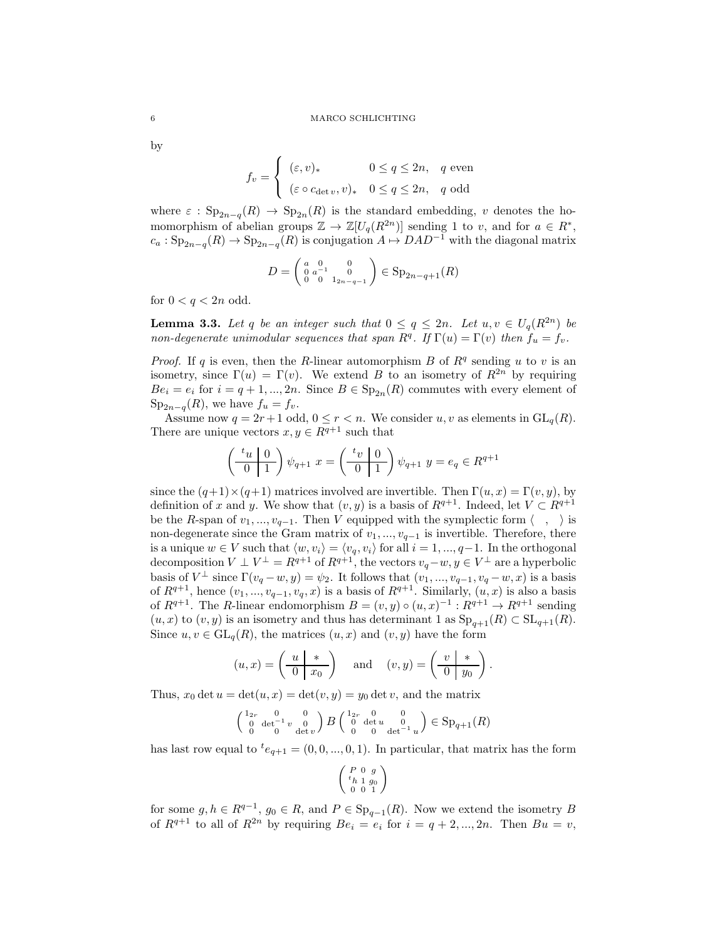by

$$
f_v = \begin{cases} (\varepsilon, v)_* & 0 \le q \le 2n, q \text{ even} \\ (\varepsilon \circ c_{\det v}, v)_* & 0 \le q \le 2n, q \text{ odd} \end{cases}
$$

where  $\varepsilon$  :  $Sp_{2n-q}(R) \to Sp_{2n}(R)$  is the standard embedding, v denotes the homomorphism of abelian groups  $\mathbb{Z} \to \mathbb{Z}[U_q(R^{2n})]$  sending 1 to v, and for  $a \in R^*$ ,  $c_a: \mathrm{Sp}_{2n-q}(R) \to \mathrm{Sp}_{2n-q}(R)$  is conjugation  $A \mapsto DAD^{-1}$  with the diagonal matrix

$$
D = \begin{pmatrix} a & 0 & 0 \\ 0 & a^{-1} & 0 \\ 0 & 0 & 1_{2n-q-1} \end{pmatrix} \in \text{Sp}_{2n-q+1}(R)
$$

for  $0 < q < 2n$  odd.

<span id="page-5-0"></span>**Lemma 3.3.** Let q be an integer such that  $0 \le q \le 2n$ . Let  $u, v \in U_q(R^{2n})$  be non-degenerate unimodular sequences that span  $R^q$ . If  $\Gamma(u) = \Gamma(v)$  then  $f_u = f_v$ .

*Proof.* If q is even, then the R-linear automorphism B of  $R<sup>q</sup>$  sending u to v is an isometry, since  $\Gamma(u) = \Gamma(v)$ . We extend B to an isometry of  $\mathbb{R}^{2n}$  by requiring  $Be_i = e_i$  for  $i = q + 1, ..., 2n$ . Since  $B \in \mathrm{Sp}_{2n}(R)$  commutes with every element of  $Sp_{2n-q}(R)$ , we have  $f_u = f_v$ .

Assume now  $q = 2r+1$  odd,  $0 \leq r < n$ . We consider u, v as elements in  $GL_q(R)$ . There are unique vectors  $x, y \in R^{q+1}$  such that

$$
\left(\begin{array}{c|c} t_u & 0\\ \hline 0 & 1 \end{array}\right)\psi_{q+1} \ x = \left(\begin{array}{c|c} t_v & 0\\ \hline 0 & 1 \end{array}\right)\psi_{q+1} \ y = e_q \in R^{q+1}
$$

since the  $(q+1) \times (q+1)$  matrices involved are invertible. Then  $\Gamma(u, x) = \Gamma(v, y)$ , by definition of x and y. We show that  $(v, y)$  is a basis of  $R^{q+1}$ . Indeed, let  $V \subset R^{q+1}$ be the R-span of  $v_1, ..., v_{q-1}$ . Then V equipped with the symplectic form  $\langle , \rangle$  is non-degenerate since the Gram matrix of  $v_1, ..., v_{q-1}$  is invertible. Therefore, there is a unique  $w \in V$  such that  $\langle w, v_i \rangle = \langle v_q, v_i \rangle$  for all  $i = 1, ..., q-1$ . In the orthogonal decomposition  $V \perp V^{\perp} = R^{q+1}$  of  $R^{q+1}$ , the vectors  $v_q - w, y \in V^{\perp}$  are a hyperbolic basis of  $V^{\perp}$  since  $\Gamma(v_q - w, y) = \psi_2$ . It follows that  $(v_1, ..., v_{q-1}, v_q - w, x)$  is a basis of  $R^{q+1}$ , hence  $(v_1, ..., v_{q-1}, v_q, x)$  is a basis of  $R^{q+1}$ . Similarly,  $(u, x)$  is also a basis of  $R^{q+1}$ . The R-linear endomorphism  $B = (v, y) \circ (u, x)^{-1} : R^{q+1} \to R^{q+1}$  sending  $(u, x)$  to  $(v, y)$  is an isometry and thus has determinant 1 as  $Sp_{q+1}(R) \subset SL_{q+1}(R)$ . Since  $u, v \in GL_q(R)$ , the matrices  $(u, x)$  and  $(v, y)$  have the form

$$
(u, x) = \left(\begin{array}{c|c} u & * \\ \hline 0 & x_0 \end{array}\right)
$$
 and  $(v, y) = \left(\begin{array}{c|c} v & * \\ \hline 0 & y_0 \end{array}\right)$ .

Thus,  $x_0 \det u = \det(u, x) = \det(v, y) = y_0 \det v$ , and the matrix

$$
\begin{pmatrix} 1_{2r} & 0 & 0 \\ 0 & \det^{-1} v & 0 \\ 0 & 0 & \det v \end{pmatrix} B \begin{pmatrix} 1_{2r} & 0 & 0 \\ 0 & \det u & 0 \\ 0 & 0 & \det^{-1} u \end{pmatrix} \in \mathrm{Sp}_{q+1}(R)
$$

has last row equal to  ${}^{t}e_{q+1} = (0, 0, ..., 0, 1)$ . In particular, that matrix has the form

$$
\left(\begin{array}{l} P\ \, 0\ \ g\\ {}^t h\ \, 1\ \, g_0 \\ \ 0\ \ 0\ \ 1 \end{array}\right)
$$

for some  $g, h \in R^{q-1}$ ,  $g_0 \in R$ , and  $P \in \text{Sp}_{q-1}(R)$ . Now we extend the isometry B of  $R^{q+1}$  to all of  $R^{2n}$  by requiring  $Be_i = e_i$  for  $i = q+2, ..., 2n$ . Then  $Bu = v$ ,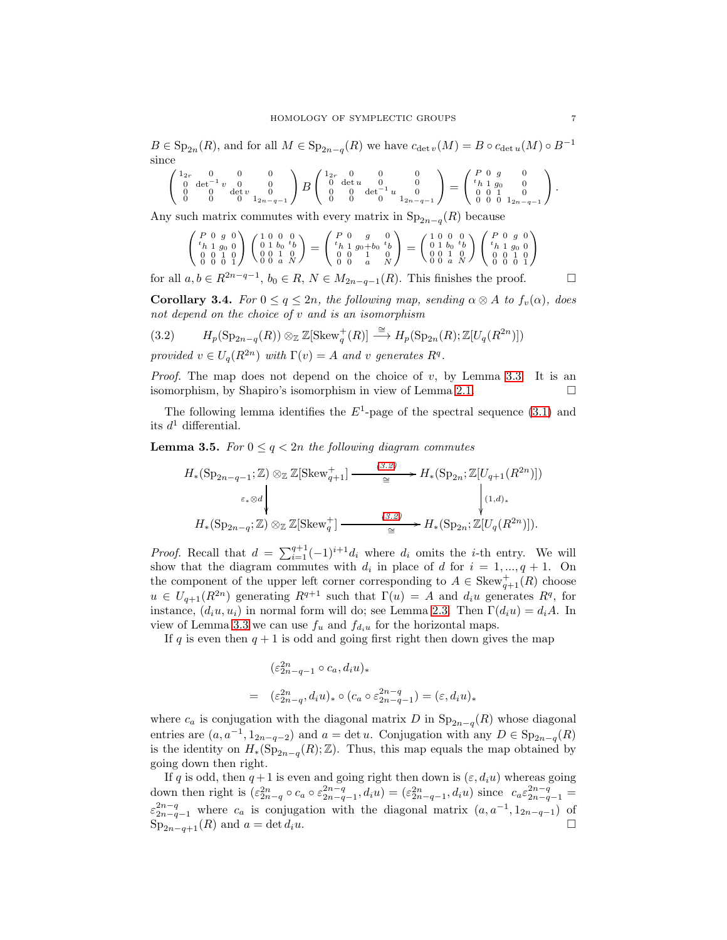$B \in \mathrm{Sp}_{2n}(R)$ , and for all  $M \in \mathrm{Sp}_{2n-q}(R)$  we have  $c_{\det v}(M) = B \circ c_{\det u}(M) \circ B^{-1}$ since

$$
\left(\begin{smallmatrix}1_{2r}&0&0&0\\0&\det^{-1}v&0&0\\0&0&\det v&0\\0&0&0&1_{2n-q-1}\end{smallmatrix}\right) B \left(\begin{smallmatrix}1_{2r}&0&0&0\\0&\det u&0&0\\0&0&\det^{-1}u&0\\0&0&0&1_{2n-q-1}\end{smallmatrix}\right)= \left(\begin{smallmatrix}P&0&g&0\\t_h&1&g_0&0\\0&0&1&0\\0&0&1_{2n-q-1}\end{smallmatrix}\right).
$$

Any such matrix commutes with every matrix in  $\text{Sp}_{2n-q}(R)$  because

$$
\begin{pmatrix}\nP & 0 & g & 0 \\
{}^{t}h & 1 & g_0 & 0 \\
0 & 0 & 1 & 0 \\
0 & 0 & 0 & 1\n\end{pmatrix}\n\begin{pmatrix}\n1 & 0 & 0 & 0 \\
0 & 1 & b_0 & {}^{t}b \\
0 & 0 & 1 & 0 \\
0 & 0 & 0 & 1\n\end{pmatrix} = \begin{pmatrix}\nP & 0 & g & 0 \\
{}^{t}h & 1 & g_0 + b_0 & {}^{t}b \\
0 & 0 & 1 & 0 \\
0 & 0 & 0 & 1\n\end{pmatrix} = \begin{pmatrix}\n1 & 0 & 0 & 0 \\
0 & 1 & b_0 & {}^{t}b \\
0 & 0 & 1 & 0 \\
0 & 0 & 1 & 0\n\end{pmatrix}\n\begin{pmatrix}\nP & 0 & g & 0 \\
{}^{t}h & 1 & g_0 & 0 \\
0 & 0 & 1 & 0 \\
0 & 0 & 0 & 1\n\end{pmatrix}
$$

for all  $a, b \in R^{2n-q-1}$ ,  $b_0 \in R$ ,  $N \in M_{2n-q-1}(R)$ . This finishes the proof.  $\Box$ 

<span id="page-6-1"></span>**Corollary 3.4.** For  $0 \le q \le 2n$ , the following map, sending  $\alpha \otimes A$  to  $f_v(\alpha)$ , does not depend on the choice of  $v$  and is an isomorphism

<span id="page-6-0"></span>(3.2) 
$$
H_p(\mathrm{Sp}_{2n-q}(R)) \otimes_{\mathbb{Z}} \mathbb{Z}[\operatorname{Skew}_q^+(R)] \stackrel{\cong}{\longrightarrow} H_p(\mathrm{Sp}_{2n}(R);\mathbb{Z}[U_q(R^{2n})])
$$

provided  $v \in U_q(R^{2n})$  with  $\Gamma(v) = A$  and v generates  $R^q$ .

*Proof.* The map does not depend on the choice of v, by Lemma [3.3.](#page-5-0) It is an isomorphism, by Shapiro's isomorphism in view of Lemma [2.1.](#page-2-1)

The following lemma identifies the  $E^1$ -page of the spectral sequence [\(3.1\)](#page-4-1) and its  $d^1$  differential.

<span id="page-6-2"></span>**Lemma 3.5.** For  $0 \leq q < 2n$  the following diagram commutes

$$
H_*(\operatorname{Sp}_{2n-q-1};\mathbb{Z}) \otimes_{\mathbb{Z}} \mathbb{Z}[\operatorname{Skew}_{q+1}^+] \xrightarrow{\qquad (3.2)} H_*(\operatorname{Sp}_{2n};\mathbb{Z}[U_{q+1}(R^{2n})])
$$
  

$$
\xrightarrow{\varepsilon_* \otimes d} \downarrow \qquad \qquad \downarrow (1,d)_*
$$
  

$$
H_*(\operatorname{Sp}_{2n-q};\mathbb{Z}) \otimes_{\mathbb{Z}} \mathbb{Z}[\operatorname{Skew}_q^+] \xrightarrow{\qquad (3.2)} H_*(\operatorname{Sp}_{2n};\mathbb{Z}[U_q(R^{2n})]).
$$

*Proof.* Recall that  $d = \sum_{i=1}^{q+1} (-1)^{i+1} d_i$  where  $d_i$  omits the *i*-th entry. We will show that the diagram commutes with  $d_i$  in place of d for  $i = 1, ..., q + 1$ . On the component of the upper left corner corresponding to  $A \in \text{Skew}^+_{q+1}(R)$  choose  $u \in U_{q+1}(R^{2n})$  generating  $R^{q+1}$  such that  $\Gamma(u) = A$  and  $d_i u$  generates  $R^q$ , for instance,  $(d_iu, u_i)$  in normal form will do; see Lemma [2.3.](#page-3-0) Then  $\Gamma(d_iu) = d_iA$ . In view of Lemma [3.3](#page-5-0) we can use  $f_u$  and  $f_{d_i u}$  for the horizontal maps.

If q is even then  $q + 1$  is odd and going first right then down gives the map

$$
\begin{aligned} (\varepsilon_{2n-q-1}^{2n} \circ c_a, d_i u)_* \\ = \quad & (\varepsilon_{2n-q}^{2n}, d_i u)_* \circ (c_a \circ \varepsilon_{2n-q-1}^{2n-q}) = (\varepsilon, d_i u)_* \end{aligned}
$$

where  $c_a$  is conjugation with the diagonal matrix D in  $\text{Sp}_{2n-q}(R)$  whose diagonal entries are  $(a, a^{-1}, 1_{2n-q-2})$  and  $a = \det u$ . Conjugation with any  $D \in \mathrm{Sp}_{2n-q}(R)$ is the identity on  $H_*(\mathrm{Sp}_{2n-q}(R); \mathbb{Z})$ . Thus, this map equals the map obtained by going down then right.

If q is odd, then  $q + 1$  is even and going right then down is  $(\varepsilon, d_i u)$  whereas going down then right is  $(\varepsilon_{2n-q}^{2n} \circ c_a \circ \varepsilon_{2n-q-1}^{2n-q}, d_i u) = (\varepsilon_{2n-q-1}^{2n}, d_i u)$  since  $c_a \varepsilon_{2n-q-1}^{2n-q} =$  $\varepsilon_{2n-q-1}^{2n-q}$  where  $c_a$  is conjugation with the diagonal matrix  $(a, a^{-1}, 1_{2n-q-1})$  of  $\text{Sp}_{2n-q+1}(R)$  and  $a = \det d_i u$ .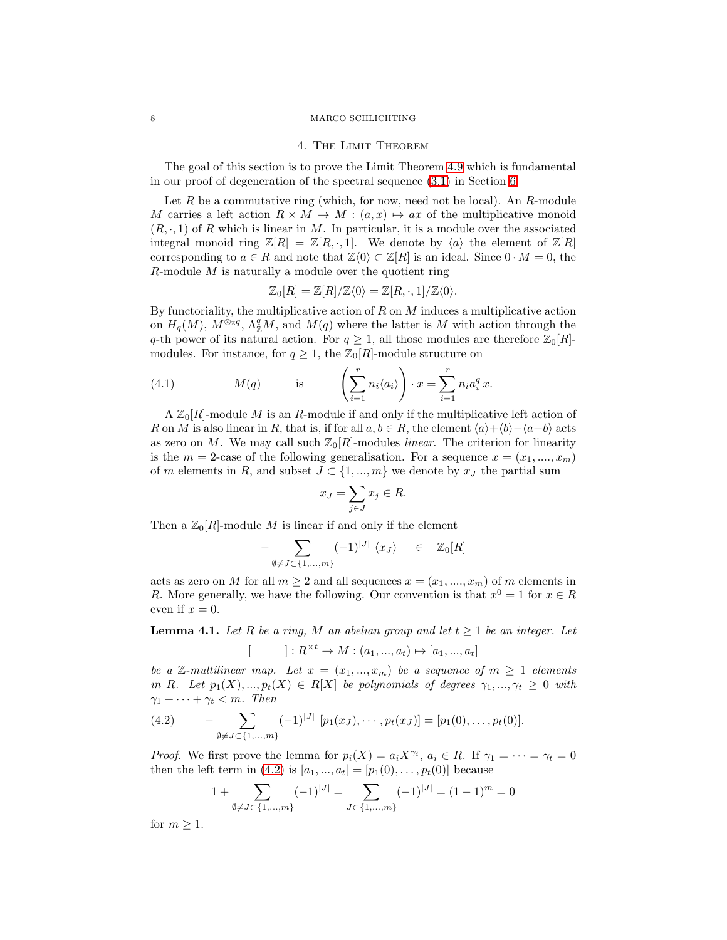#### <span id="page-7-0"></span>8 MARCO SCHLICHTING

#### 4. The Limit Theorem

The goal of this section is to prove the Limit Theorem [4.9](#page-10-0) which is fundamental in our proof of degeneration of the spectral sequence [\(3.1\)](#page-4-1) in Section [6.](#page-16-0)

Let  $R$  be a commutative ring (which, for now, need not be local). An  $R$ -module M carries a left action  $R \times M \to M : (a, x) \mapsto ax$  of the multiplicative monoid  $(R, \cdot, 1)$  of R which is linear in M. In particular, it is a module over the associated integral monoid ring  $\mathbb{Z}[R] = \mathbb{Z}[R,\cdot,1]$ . We denote by  $\langle a \rangle$  the element of  $\mathbb{Z}[R]$ corresponding to  $a \in R$  and note that  $\mathbb{Z}\langle 0 \rangle \subset \mathbb{Z}[R]$  is an ideal. Since  $0 \cdot M = 0$ , the  $R$ -module  $M$  is naturally a module over the quotient ring

$$
\mathbb{Z}_0[R] = \mathbb{Z}[R]/\mathbb{Z}\langle 0 \rangle = \mathbb{Z}[R,\cdot,1]/\mathbb{Z}\langle 0 \rangle.
$$

By functoriality, the multiplicative action of  $R$  on  $M$  induces a multiplicative action on  $H_q(M)$ ,  $M^{\otimes_{\mathbb{Z}}q}$ ,  $\Lambda^q_{\mathbb{Z}}M$ , and  $M(q)$  where the latter is M with action through the q-th power of its natural action. For  $q \geq 1$ , all those modules are therefore  $\mathbb{Z}_0[R]$ modules. For instance, for  $q \geq 1$ , the  $\mathbb{Z}_0[R]$ -module structure on

<span id="page-7-3"></span>(4.1) 
$$
M(q) \qquad \text{is} \qquad \left(\sum_{i=1}^r n_i \langle a_i \rangle\right) \cdot x = \sum_{i=1}^r n_i a_i^q x.
$$

 $A \mathbb{Z}_0[R]$ -module M is an R-module if and only if the multiplicative left action of R on M is also linear in R, that is, if for all  $a, b \in R$ , the element  $\langle a \rangle + \langle b \rangle - \langle a+b \rangle$  acts as zero on M. We may call such  $\mathbb{Z}_0[R]$ -modules *linear*. The criterion for linearity is the  $m = 2$ -case of the following generalisation. For a sequence  $x = (x_1, \ldots, x_m)$ of m elements in R, and subset  $J \subset \{1, ..., m\}$  we denote by  $x_J$  the partial sum

$$
x_J = \sum_{j \in J} x_j \in R.
$$

Then a  $\mathbb{Z}_0[R]$ -module M is linear if and only if the element

$$
- \sum_{\emptyset \neq J \subset \{1, \dots, m\}} (-1)^{|J|} \langle x_J \rangle \quad \in \quad \mathbb{Z}_0[R]
$$

acts as zero on M for all  $m \geq 2$  and all sequences  $x = (x_1, \ldots, x_m)$  of m elements in R. More generally, we have the following. Our convention is that  $x^0 = 1$  for  $x \in R$ even if  $x = 0$ .

<span id="page-7-2"></span>**Lemma 4.1.** Let R be a ring, M an abelian group and let  $t \geq 1$  be an integer. Let  $[$  ]:  $R^{\times t} \to M : (a_1, ..., a_t) \mapsto [a_1, ..., a_t]$ 

be a Z-multilinear map. Let  $x = (x_1, ..., x_m)$  be a sequence of  $m \ge 1$  elements in R. Let  $p_1(X),...,p_t(X) \in R[X]$  be polynomials of degrees  $\gamma_1,...,\gamma_t \geq 0$  with  $\gamma_1 + \cdots + \gamma_t < m$ . Then

<span id="page-7-1"></span>(4.2) 
$$
- \sum_{\emptyset \neq J \subset \{1,\ldots,m\}} (-1)^{|J|} [p_1(x_J), \cdots, p_t(x_J)] = [p_1(0), \ldots, p_t(0)].
$$

*Proof.* We first prove the lemma for  $p_i(X) = a_i X^{\gamma_i}$ ,  $a_i \in R$ . If  $\gamma_1 = \cdots = \gamma_t = 0$ then the left term in [\(4.2\)](#page-7-1) is  $[a_1, ..., a_t] = [p_1(0), ..., p_t(0)]$  because

$$
1 + \sum_{\emptyset \neq J \subset \{1, \dots, m\}} (-1)^{|J|} = \sum_{J \subset \{1, \dots, m\}} (-1)^{|J|} = (1 - 1)^m = 0
$$

for  $m \geq 1$ .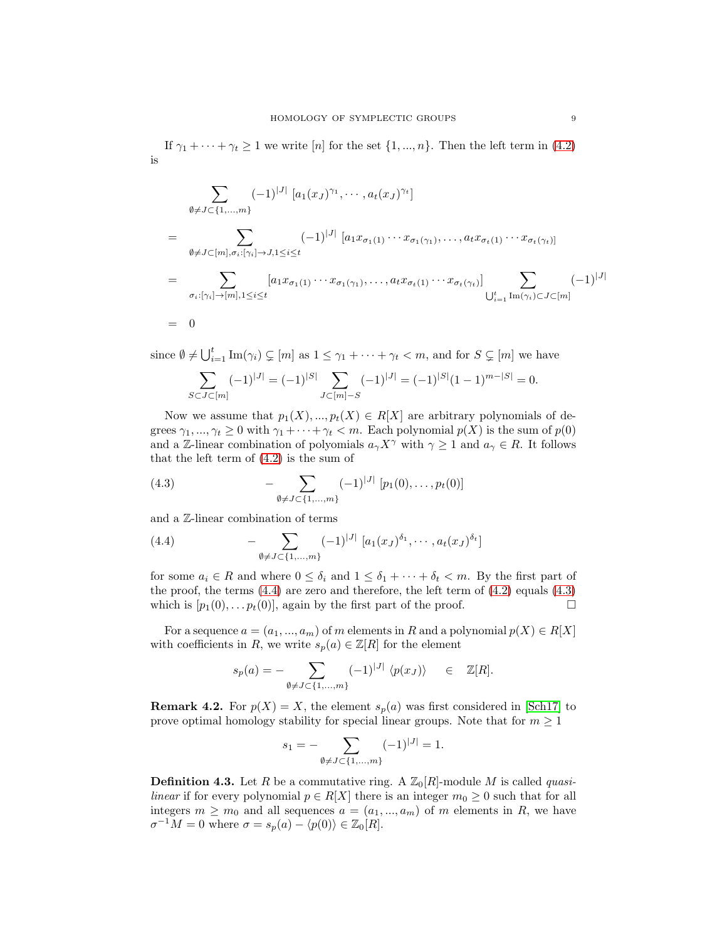If  $\gamma_1 + \cdots + \gamma_t \ge 1$  we write  $[n]$  for the set  $\{1, ..., n\}$ . Then the left term in  $(4.2)$ is

$$
\sum_{\emptyset \neq J \subset \{1, \dots, m\}} (-1)^{|J|} [a_1(x_J)^{\gamma_1}, \dots, a_t(x_J)^{\gamma_t}]
$$
\n
$$
= \sum_{\emptyset \neq J \subset [m], \sigma_i : [\gamma_i] \to J, 1 \leq i \leq t} (-1)^{|J|} [a_1 x_{\sigma_1(1)} \cdots x_{\sigma_1(\gamma_1)}, \dots, a_t x_{\sigma_t(1)} \cdots x_{\sigma_t(\gamma_t)}]
$$
\n
$$
= \sum_{\sigma_i : [\gamma_i] \to [m], 1 \leq i \leq t} [a_1 x_{\sigma_1(1)} \cdots x_{\sigma_1(\gamma_1)}, \dots, a_t x_{\sigma_t(1)} \cdots x_{\sigma_t(\gamma_t)}] \sum_{\bigcup_{i=1}^t \text{Im}(\gamma_i) \subset J \subset [m]} (-1)^{|J|}
$$
\n
$$
= 0
$$

since  $\emptyset \neq \bigcup_{i=1}^t \text{Im}(\gamma_i) \subsetneq [m]$  as  $1 \leq \gamma_1 + \cdots + \gamma_t < m$ , and for  $S \subsetneq [m]$  we have

$$
\sum_{S \subset J \subset [m]} (-1)^{|J|} = (-1)^{|S|} \sum_{J \subset [m] - S} (-1)^{|J|} = (-1)^{|S|} (1 - 1)^{m - |S|} = 0.
$$

Now we assume that  $p_1(X), ..., p_t(X) \in R[X]$  are arbitrary polynomials of degrees  $\gamma_1, ..., \gamma_t \geq 0$  with  $\gamma_1 + ... + \gamma_t < m$ . Each polynomial  $p(X)$  is the sum of  $p(0)$ and a Z-linear combination of polyomials  $a_{\gamma}X^{\gamma}$  with  $\gamma \geq 1$  and  $a_{\gamma} \in R$ . It follows that the left term of  $(4.2)$  is the sum of

<span id="page-8-1"></span>(4.3) 
$$
- \sum_{\emptyset \neq J \subset \{1,\dots,m\}} (-1)^{|J|} [p_1(0), \dots, p_t(0)]
$$

and a Z-linear combination of terms

<span id="page-8-0"></span>(4.4) 
$$
- \sum_{\emptyset \neq J \subset \{1, ..., m\}} (-1)^{|J|} [a_1(x_J)^{\delta_1}, \cdots, a_t(x_J)^{\delta_t}]
$$

for some  $a_i \in R$  and where  $0 \leq \delta_i$  and  $1 \leq \delta_1 + \cdots + \delta_t < m$ . By the first part of the proof, the terms  $(4.4)$  are zero and therefore, the left term of  $(4.2)$  equals  $(4.3)$ which is  $[p_1(0), \ldots, p_t(0)]$ , again by the first part of the proof.

For a sequence  $a = (a_1, ..., a_m)$  of m elements in R and a polynomial  $p(X) \in R[X]$ with coefficients in R, we write  $s_p(a) \in \mathbb{Z}[R]$  for the element

$$
s_p(a) = - \sum_{\emptyset \neq J \subset \{1, ..., m\}} (-1)^{|J|} \langle p(x_J) \rangle \quad \in \quad \mathbb{Z}[R].
$$

**Remark 4.2.** For  $p(X) = X$ , the element  $s_p(a)$  was first considered in [\[Sch17\]](#page-29-7) to prove optimal homology stability for special linear groups. Note that for  $m \geq 1$ 

$$
s_1 = -\sum_{\emptyset \neq J \subset \{1, \dots, m\}} (-1)^{|J|} = 1.
$$

<span id="page-8-2"></span>**Definition 4.3.** Let R be a commutative ring. A  $\mathbb{Z}_0[R]$ -module M is called *quasilinear* if for every polynomial  $p \in R[X]$  there is an integer  $m_0 \geq 0$  such that for all integers  $m \geq m_0$  and all sequences  $a = (a_1, ..., a_m)$  of m elements in R, we have  $\sigma^{-1}M = 0$  where  $\sigma = s_p(a) - \langle p(0) \rangle \in \mathbb{Z}_0[R].$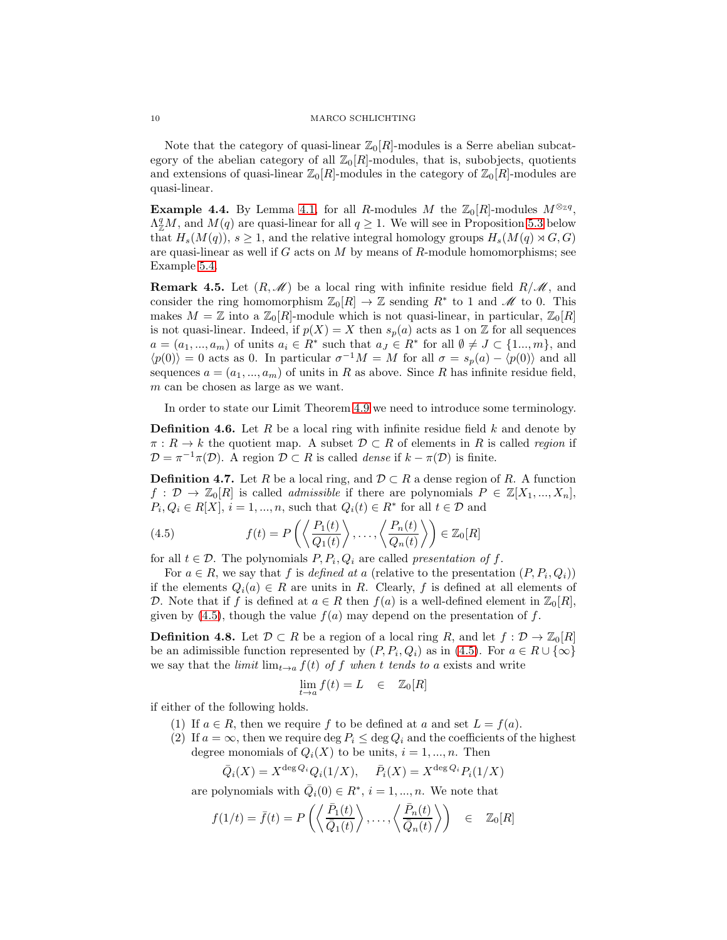### 10 MARCO SCHLICHTING

Note that the category of quasi-linear  $\mathbb{Z}_0[R]$ -modules is a Serre abelian subcategory of the abelian category of all  $\mathbb{Z}_0[R]$ -modules, that is, subobjects, quotients and extensions of quasi-linear  $\mathbb{Z}_0[R]$ -modules in the category of  $\mathbb{Z}_0[R]$ -modules are quasi-linear.

**Example 4.4.** By Lemma [4.1,](#page-7-2) for all R-modules M the  $\mathbb{Z}_0[R]$ -modules  $M^{\otimes_{\mathbb{Z}}q}$ ,  $\Lambda_{\mathbb{Z}}^q M$ , and  $M(q)$  are quasi-linear for all  $q \geq 1$ . We will see in Proposition [5.3](#page-13-0) below that  $H_s(M(q))$ ,  $s \geq 1$ , and the relative integral homology groups  $H_s(M(q) \rtimes G, G)$ are quasi-linear as well if  $G$  acts on  $M$  by means of  $R$ -module homomorphisms; see Example [5.4.](#page-14-0)

**Remark 4.5.** Let  $(R,\mathcal{M})$  be a local ring with infinite residue field  $R/\mathcal{M}$ , and consider the ring homomorphism  $\mathbb{Z}_0[R] \to \mathbb{Z}$  sending  $R^*$  to 1 and  $\mathscr{M}$  to 0. This makes  $M = \mathbb{Z}$  into a  $\mathbb{Z}_0[R]$ -module which is not quasi-linear, in particular,  $\mathbb{Z}_0[R]$ is not quasi-linear. Indeed, if  $p(X) = X$  then  $s_p(a)$  acts as 1 on Z for all sequences  $a = (a_1, ..., a_m)$  of units  $a_i \in R^*$  such that  $a_j \in R^*$  for all  $\emptyset \neq J \subset \{1, ..., m\}$ , and  $\langle p(0) \rangle = 0$  acts as 0. In particular  $\sigma^{-1}M = M$  for all  $\sigma = s_p(a) - \langle p(0) \rangle$  and all sequences  $a = (a_1, ..., a_m)$  of units in R as above. Since R has infinite residue field, m can be chosen as large as we want.

In order to state our Limit Theorem [4.9](#page-10-0) we need to introduce some terminology.

**Definition 4.6.** Let R be a local ring with infinite residue field  $k$  and denote by  $\pi: R \to k$  the quotient map. A subset  $\mathcal{D} \subset R$  of elements in R is called region if  $\mathcal{D} = \pi^{-1}\pi(\mathcal{D})$ . A region  $\mathcal{D} \subset R$  is called *dense* if  $k - \pi(\mathcal{D})$  is finite.

**Definition 4.7.** Let R be a local ring, and  $\mathcal{D} \subset R$  a dense region of R. A function  $f: \mathcal{D} \to \mathbb{Z}_0[R]$  is called *admissible* if there are polynomials  $P \in \mathbb{Z}[X_1, ..., X_n],$  $P_i, Q_i \in R[X], i = 1, ..., n$ , such that  $Q_i(t) \in R^*$  for all  $t \in \mathcal{D}$  and

<span id="page-9-0"></span>(4.5) 
$$
f(t) = P\left(\left\langle \frac{P_1(t)}{Q_1(t)} \right\rangle, \dots, \left\langle \frac{P_n(t)}{Q_n(t)} \right\rangle\right) \in \mathbb{Z}_0[R]
$$

for all  $t \in \mathcal{D}$ . The polynomials  $P, P_i, Q_i$  are called presentation of f.

For  $a \in R$ , we say that f is defined at a (relative to the presentation  $(P, P_i, Q_i)$ ) if the elements  $Q_i(a) \in R$  are units in R. Clearly, f is defined at all elements of D. Note that if f is defined at  $a \in R$  then  $f(a)$  is a well-defined element in  $\mathbb{Z}_0[R]$ , given by [\(4.5\)](#page-9-0), though the value  $f(a)$  may depend on the presentation of f.

<span id="page-9-1"></span>**Definition 4.8.** Let  $\mathcal{D} \subset R$  be a region of a local ring R, and let  $f : \mathcal{D} \to \mathbb{Z}_0[R]$ be an adimissible function represented by  $(P, P_i, Q_i)$  as in [\(4.5\)](#page-9-0). For  $a \in R \cup \{\infty\}$ we say that the *limit*  $\lim_{t\to a} f(t)$  of f when t tends to a exists and write

$$
\lim_{t \to a} f(t) = L \quad \in \quad \mathbb{Z}_0[R]
$$

<span id="page-9-2"></span>if either of the following holds.

- (1) If  $a \in R$ , then we require f to be defined at a and set  $L = f(a)$ .
- (2) If  $a = \infty$ , then we require deg  $P_i \leq \deg Q_i$  and the coefficients of the highest degree monomials of  $Q_i(X)$  to be units,  $i = 1, ..., n$ . Then

$$
\overline{Q}_i(X) = X^{\deg Q_i} Q_i(1/X), \quad \overline{P}_i(X) = X^{\deg Q_i} P_i(1/X)
$$

are polynomials with  $\overline{Q}_i(0) \in R^*, i = 1, ..., n$ . We note that

$$
f(1/t) = \bar{f}(t) = P\left(\left\langle \frac{\bar{P}_1(t)}{\bar{Q}_1(t)} \right\rangle, \dots, \left\langle \frac{\bar{P}_n(t)}{\bar{Q}_n(t)} \right\rangle\right) \in \mathbb{Z}_0[R]
$$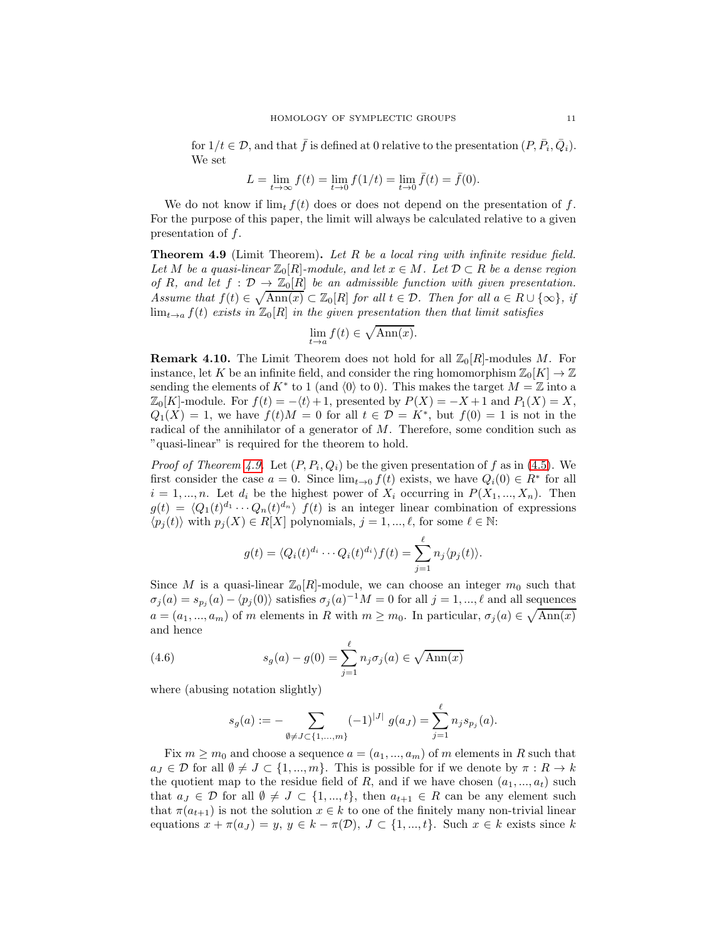for  $1/t \in \mathcal{D}$ , and that  $\bar{f}$  is defined at 0 relative to the presentation  $(P, \bar{P}_i, \bar{Q}_i)$ . We set

$$
L = \lim_{t \to \infty} f(t) = \lim_{t \to 0} f(1/t) = \lim_{t \to 0} \bar{f}(t) = \bar{f}(0).
$$

We do not know if  $\lim_{t} f(t)$  does or does not depend on the presentation of f. For the purpose of this paper, the limit will always be calculated relative to a given presentation of f.

<span id="page-10-0"></span>**Theorem 4.9** (Limit Theorem). Let  $R$  be a local ring with infinite residue field. Let M be a quasi-linear  $\mathbb{Z}_0[R]$ -module, and let  $x \in M$ . Let  $\mathcal{D} \subset R$  be a dense region of R, and let  $f : \mathcal{D} \to \mathbb{Z}_0[R]$  be an admissible function with given presentation. Assume that  $f(t) \in \sqrt{\text{Ann}(x)} \subset \mathbb{Z}_0[R]$  for all  $t \in \mathcal{D}$ . Then for all  $a \in R \cup \{\infty\}$ , if  $\lim_{t\to a} f(t)$  exists in  $\mathbb{Z}_0[R]$  in the given presentation then that limit satisfies

$$
\lim_{t \to a} f(t) \in \sqrt{\operatorname{Ann}(x)}.
$$

**Remark 4.10.** The Limit Theorem does not hold for all  $\mathbb{Z}_0[R]$ -modules M. For instance, let K be an infinite field, and consider the ring homomorphism  $\mathbb{Z}_0[K] \to \mathbb{Z}$ sending the elements of  $K^*$  to 1 (and  $\langle 0 \rangle$  to 0). This makes the target  $M = \mathbb{Z}$  into a  $\mathbb{Z}_0[K]$ -module. For  $f(t) = -\langle t \rangle + 1$ , presented by  $P(X) = -X + 1$  and  $P_1(X) = X$ ,  $Q_1(X) = 1$ , we have  $f(t)M = 0$  for all  $t \in \mathcal{D} = K^*$ , but  $f(0) = 1$  is not in the radical of the annihilator of a generator of  $M$ . Therefore, some condition such as "quasi-linear" is required for the theorem to hold.

*Proof of Theorem [4.9.](#page-10-0)* Let  $(P, P_i, Q_i)$  be the given presentation of f as in [\(4.5\)](#page-9-0). We first consider the case  $a = 0$ . Since  $\lim_{t\to 0} f(t)$  exists, we have  $Q_i(0) \in R^*$  for all  $i = 1, ..., n$ . Let  $d_i$  be the highest power of  $X_i$  occurring in  $P(X_1, ..., X_n)$ . Then  $g(t) = \langle Q_1(t)^{d_1} \cdots Q_n(t)^{d_n} \rangle f(t)$  is an integer linear combination of expressions  $\langle p_j(t) \rangle$  with  $p_j(X) \in R[X]$  polynomials,  $j = 1, ..., \ell$ , for some  $\ell \in \mathbb{N}$ :

$$
g(t) = \langle Q_i(t)^{d_i} \cdots Q_i(t)^{d_i} \rangle f(t) = \sum_{j=1}^{\ell} n_j \langle p_j(t) \rangle.
$$

Since M is a quasi-linear  $\mathbb{Z}_0[R]$ -module, we can choose an integer  $m_0$  such that  $\sigma_j(a) = s_{p_j}(a) - \langle p_j(0) \rangle$  satisfies  $\sigma_j(a)^{-1}M = 0$  for all  $j = 1, ..., \ell$  and all sequences  $a = (a_1, ..., a_m)$  of m elements in R with  $m \geq m_0$ . In particular,  $\sigma_j(a) \in \sqrt{\text{Ann}(x)}$ and hence

(4.6) 
$$
s_g(a) - g(0) = \sum_{j=1}^{\ell} n_j \sigma_j(a) \in \sqrt{\text{Ann}(x)}
$$

where (abusing notation slightly)

<span id="page-10-1"></span>
$$
s_g(a) := - \sum_{\emptyset \neq J \subset \{1, ..., m\}} (-1)^{|J|} g(a_J) = \sum_{j=1}^{\ell} n_j s_{p_j}(a).
$$

Fix  $m \geq m_0$  and choose a sequence  $a = (a_1, ..., a_m)$  of m elements in R such that  $a_J \in \mathcal{D}$  for all  $\emptyset \neq J \subset \{1, ..., m\}$ . This is possible for if we denote by  $\pi : R \to k$ the quotient map to the residue field of R, and if we have chosen  $(a_1, ..., a_t)$  such that  $a_J \in \mathcal{D}$  for all  $\emptyset \neq J \subset \{1, ..., t\}$ , then  $a_{t+1} \in R$  can be any element such that  $\pi(a_{t+1})$  is not the solution  $x \in k$  to one of the finitely many non-trivial linear equations  $x + \pi(a_j) = y$ ,  $y \in k - \pi(\mathcal{D})$ ,  $J \subset \{1, ..., t\}$ . Such  $x \in k$  exists since k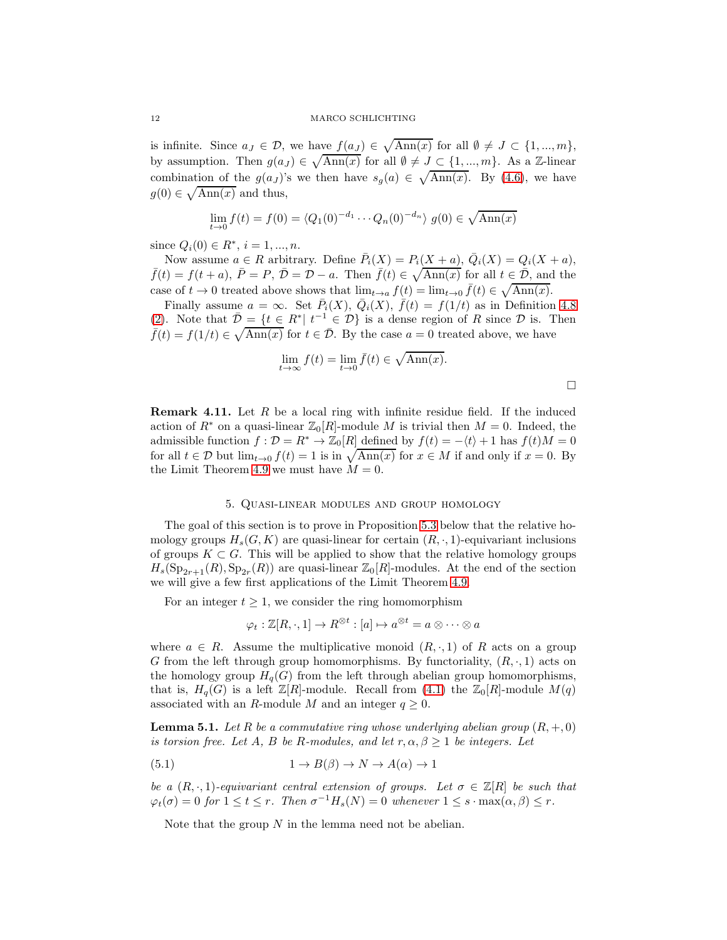is infinite. Since  $a_J \in \mathcal{D}$ , we have  $f(a_J) \in \sqrt{\text{Ann}(x)}$  for all  $\emptyset \neq J \subset \{1, ..., m\}$ , by assumption. Then  $g(a_J) \in \sqrt{\text{Ann}(x)}$  for all  $\emptyset \neq J \subset \{1, ..., m\}$ . As a Z-linear combination of the  $g(a_j)$ 's we then have  $s_g(a) \in \sqrt{\text{Ann}(x)}$ . By [\(4.6\)](#page-10-1), we have  $g(0) \in \sqrt{\text{Ann}(x)}$  and thus,

$$
\lim_{t \to 0} f(t) = f(0) = \langle Q_1(0)^{-d_1} \cdots Q_n(0)^{-d_n} \rangle \ g(0) \in \sqrt{\text{Ann}(x)}
$$

since  $Q_i(0) \in R^*, i = 1, ..., n$ .

Now assume  $a \in R$  arbitrary. Define  $\overline{P}_i(X) = P_i(X + a), \overline{Q}_i(X) = Q_i(X + a),$  $\bar{f}(t) = f(t+a), \ \bar{P} = P, \ \bar{D} = \mathcal{D} - a.$  Then  $\bar{f}(t) \in \sqrt{\text{Ann}(x)}$  for all  $t \in \bar{\mathcal{D}}$ , and the case of  $t \to 0$  treated above shows that  $\lim_{t \to a} f(t) = \lim_{t \to 0} \bar{f}(t) \in \sqrt{\text{Ann}(x)}$ .

Finally assume  $a = \infty$ . Set  $\bar{P}_i(X)$ ,  $\bar{Q}_i(X)$ ,  $\bar{f}(t) = f(1/t)$  as in Definition [4.8](#page-9-1) [\(2\)](#page-9-2). Note that  $\overline{\mathcal{D}} = \{t \in R^* | t^{-1} \in \mathcal{D}\}\$ is a dense region of R since  $\mathcal D$  is. Then  $\bar{f}(t) = f(1/t) \in \sqrt{\text{Ann}(x)}$  for  $t \in \bar{\mathcal{D}}$ . By the case  $a = 0$  treated above, we have

$$
\lim_{t \to \infty} f(t) = \lim_{t \to 0} \bar{f}(t) \in \sqrt{\text{Ann}(x)}.
$$

 $\Box$ 

<span id="page-11-3"></span>**Remark 4.11.** Let  $R$  be a local ring with infinite residue field. If the induced action of  $R^*$  on a quasi-linear  $\mathbb{Z}_0[R]$ -module M is trivial then  $M = 0$ . Indeed, the admissible function  $f : \mathcal{D} = R^* \to \mathbb{Z}_0[R]$  defined by  $f(t) = -\langle t \rangle + 1$  has  $f(t)M = 0$ for all  $t \in \mathcal{D}$  but  $\lim_{t \to 0} f(t) = 1$  is in  $\sqrt{\text{Ann}(x)}$  for  $x \in M$  if and only if  $x = 0$ . By the Limit Theorem [4.9](#page-10-0) we must have  $M = 0$ .

## 5. Quasi-linear modules and group homology

<span id="page-11-0"></span>The goal of this section is to prove in Proposition [5.3](#page-13-0) below that the relative homology groups  $H_s(G, K)$  are quasi-linear for certain  $(R, \cdot, 1)$ -equivariant inclusions of groups  $K \subset G$ . This will be applied to show that the relative homology groups  $H_s(\mathrm{Sp}_{2r+1}(R), \mathrm{Sp}_{2r}(R))$  are quasi-linear  $\mathbb{Z}_0[R]$ -modules. At the end of the section we will give a few first applications of the Limit Theorem [4.9.](#page-10-0)

For an integer  $t \geq 1$ , we consider the ring homomorphism

$$
\varphi_t : \mathbb{Z}[R, \cdot, 1] \to R^{\otimes t} : [a] \mapsto a^{\otimes t} = a \otimes \cdots \otimes a
$$

where  $a \in R$ . Assume the multiplicative monoid  $(R, \cdot, 1)$  of R acts on a group G from the left through group homomorphisms. By functoriality,  $(R, \cdot, 1)$  acts on the homology group  $H_q(G)$  from the left through abelian group homomorphisms, that is,  $H_q(G)$  is a left  $\mathbb{Z}[R]$ -module. Recall from [\(4.1\)](#page-7-3) the  $\mathbb{Z}_0[R]$ -module  $M(q)$ associated with an R-module M and an integer  $q \geq 0$ .

<span id="page-11-1"></span>**Lemma 5.1.** Let R be a commutative ring whose underlying abelian group  $(R, +, 0)$ is torsion free. Let A, B be R-modules, and let  $r, \alpha, \beta \geq 1$  be integers. Let

<span id="page-11-2"></span>(5.1) 
$$
1 \to B(\beta) \to N \to A(\alpha) \to 1
$$

be a  $(R, \cdot, 1)$ -equivariant central extension of groups. Let  $\sigma \in \mathbb{Z}[R]$  be such that  $\varphi_t(\sigma) = 0$  for  $1 \le t \le r$ . Then  $\sigma^{-1}H_s(N) = 0$  whenever  $1 \le s \cdot \max(\alpha, \beta) \le r$ .

Note that the group  $N$  in the lemma need not be abelian.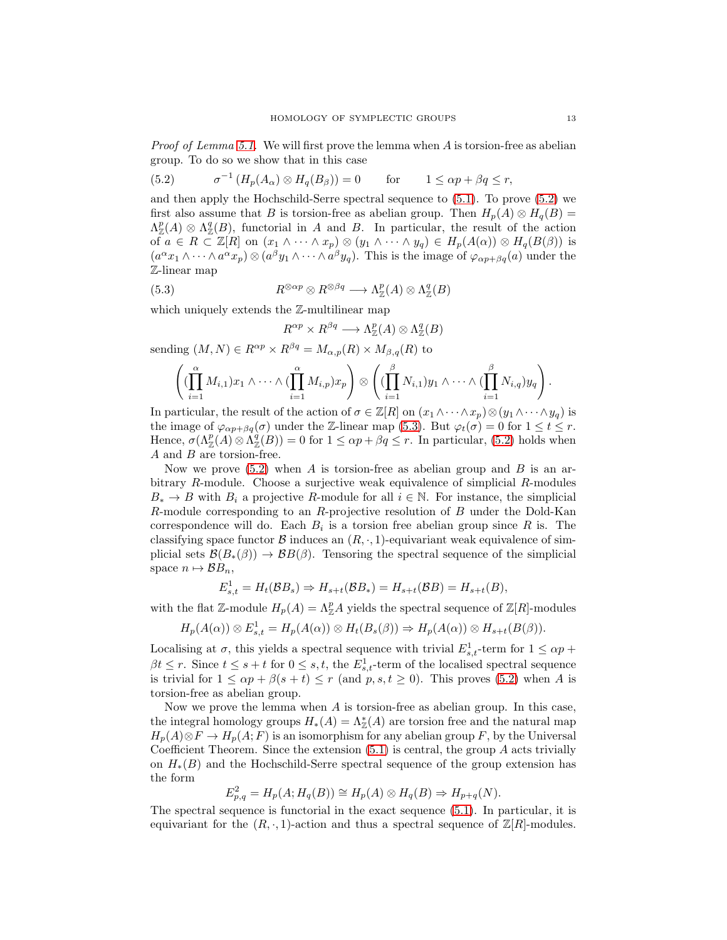*Proof of Lemma [5.1.](#page-11-1)* We will first prove the lemma when  $\tilde{A}$  is torsion-free as abelian group. To do so we show that in this case

<span id="page-12-0"></span>(5.2) 
$$
\sigma^{-1}(H_p(A_\alpha) \otimes H_q(B_\beta)) = 0 \quad \text{for} \quad 1 \le \alpha p + \beta q \le r,
$$

and then apply the Hochschild-Serre spectral sequence to [\(5.1\)](#page-11-2). To prove [\(5.2\)](#page-12-0) we first also assume that B is torsion-free as abelian group. Then  $H_p(A) \otimes H_q(B) =$  $\Lambda^p_{\mathbb{Z}}(A) \otimes \Lambda^q_{\mathbb{Z}}(B)$ , functorial in A and B. In particular, the result of the action of  $a \in R \subset \mathbb{Z}[R]$  on  $(x_1 \wedge \cdots \wedge x_p) \otimes (y_1 \wedge \cdots \wedge y_q) \in H_p(A(\alpha)) \otimes H_q(B(\beta))$  is  $(a^{\alpha}x_1\wedge\cdots\wedge a^{\alpha}x_p)\otimes(a^{\beta}y_1\wedge\cdots\wedge a^{\beta}y_q)$ . This is the image of  $\varphi_{\alpha p+\beta q}(a)$  under the Z-linear map

(5.3) 
$$
R^{\otimes \alpha p} \otimes R^{\otimes \beta q} \longrightarrow \Lambda^p_{\mathbb{Z}}(A) \otimes \Lambda^q_{\mathbb{Z}}(B)
$$

<span id="page-12-1"></span> $R^c$ 

which uniquely extends the  $\mathbb{Z}$ -multilinear map

$$
^{\alpha p}\times R^{\beta q}\longrightarrow \Lambda_\mathbb{Z}^p(A)\otimes \Lambda_\mathbb{Z}^q(B)
$$

sending  $(M, N) \in R^{\alpha p} \times R^{\beta q} = M_{\alpha, p}(R) \times M_{\beta, q}(R)$  to

$$
\left( (\prod_{i=1}^{\alpha} M_{i,1}) x_1 \wedge \cdots \wedge (\prod_{i=1}^{\alpha} M_{i,p}) x_p \right) \otimes \left( (\prod_{i=1}^{\beta} N_{i,1}) y_1 \wedge \cdots \wedge (\prod_{i=1}^{\beta} N_{i,q}) y_q \right).
$$

In particular, the result of the action of  $\sigma \in \mathbb{Z}[R]$  on  $(x_1 \wedge \cdots \wedge x_p) \otimes (y_1 \wedge \cdots \wedge y_q)$  is the image of  $\varphi_{\alpha p+\beta q}(\sigma)$  under the Z-linear map [\(5.3\)](#page-12-1). But  $\varphi_t(\sigma) = 0$  for  $1 \le t \le r$ . Hence,  $\sigma(\Lambda_Z^p(A) \otimes \Lambda_Z^q(B)) = 0$  for  $1 \leq \alpha p + \beta q \leq r$ . In particular, [\(5.2\)](#page-12-0) holds when A and B are torsion-free.

Now we prove  $(5.2)$  when A is torsion-free as abelian group and B is an arbitrary R-module. Choose a surjective weak equivalence of simplicial R-modules  $B_* \to B$  with  $B_i$  a projective R-module for all  $i \in \mathbb{N}$ . For instance, the simplicial R-module corresponding to an R-projective resolution of B under the Dold-Kan correspondence will do. Each  $B_i$  is a torsion free abelian group since R is. The classifying space functor B induces an  $(R, \cdot, 1)$ -equivariant weak equivalence of simplicial sets  $\mathcal{B}(B_*(\beta)) \to \mathcal{B}(\beta)$ . Tensoring the spectral sequence of the simplicial space  $n \mapsto \mathcal{B}B_n$ ,

$$
E_{s,t}^1 = H_t(\mathcal{B}B_s) \Rightarrow H_{s+t}(\mathcal{B}B_*) = H_{s+t}(\mathcal{B}B) = H_{s+t}(B),
$$

with the flat Z-module  $H_p(A) = \Lambda_Z^p A$  yields the spectral sequence of  $\mathbb{Z}[R]$ -modules

$$
H_p(A(\alpha)) \otimes E_{s,t}^1 = H_p(A(\alpha)) \otimes H_t(B_s(\beta)) \Rightarrow H_p(A(\alpha)) \otimes H_{s+t}(B(\beta)).
$$

Localising at  $\sigma$ , this yields a spectral sequence with trivial  $E_{s,t}^1$ -term for  $1 \leq \alpha p +$  $\beta t \leq r$ . Since  $t \leq s+t$  for  $0 \leq s,t$ , the  $E^1_{s,t}$ -term of the localised spectral sequence is trivial for  $1 \le \alpha p + \beta(s+t) \le r$  (and  $p, s, t \ge 0$ ). This proves [\(5.2\)](#page-12-0) when A is torsion-free as abelian group.

Now we prove the lemma when  $A$  is torsion-free as abelian group. In this case, the integral homology groups  $H_*(A) = \Lambda_{\mathbb{Z}}^*(A)$  are torsion free and the natural map  $H_p(A) \otimes F \to H_p(A; F)$  is an isomorphism for any abelian group F, by the Universal Coefficient Theorem. Since the extension  $(5.1)$  is central, the group A acts trivially on  $H_*(B)$  and the Hochschild-Serre spectral sequence of the group extension has the form

$$
E_{p,q}^2 = H_p(A; H_q(B)) \cong H_p(A) \otimes H_q(B) \Rightarrow H_{p+q}(N).
$$

The spectral sequence is functorial in the exact sequence [\(5.1\)](#page-11-2). In particular, it is equivariant for the  $(R, \cdot, 1)$ -action and thus a spectral sequence of  $\mathbb{Z}[R]$ -modules.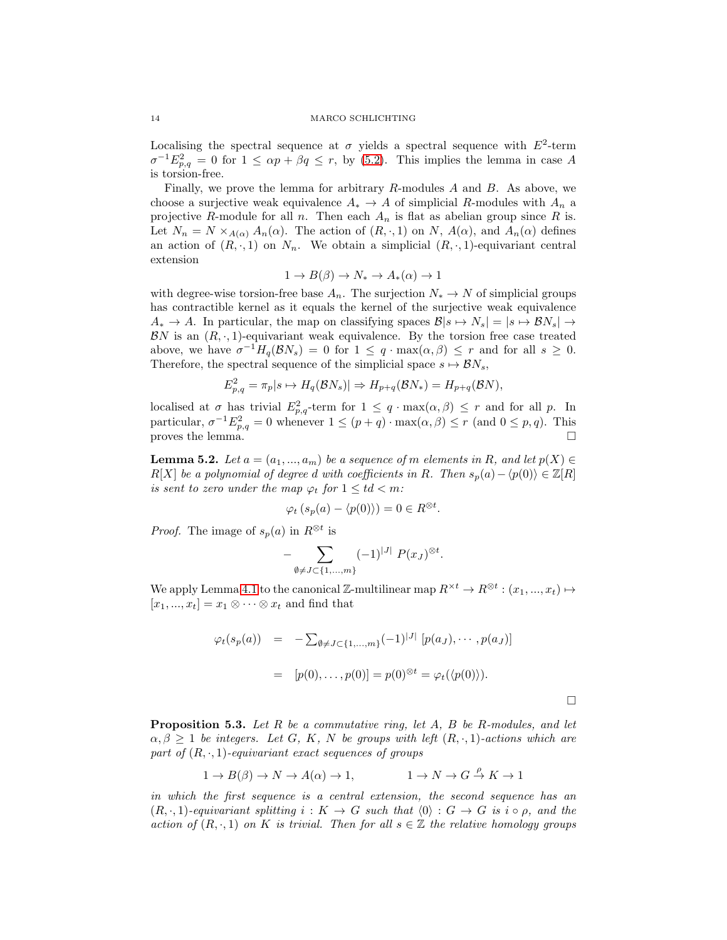#### 14 MARCO SCHLICHTING

Localising the spectral sequence at  $\sigma$  yields a spectral sequence with  $E^2$ -term  $\sigma^{-1} E_{p,q}^2 = 0$  for  $1 \le \alpha p + \beta q \le r$ , by [\(5.2\)](#page-12-0). This implies the lemma in case A is torsion-free.

Finally, we prove the lemma for arbitrary  $R$ -modules  $A$  and  $B$ . As above, we choose a surjective weak equivalence  $A_* \to A$  of simplicial R-modules with  $A_n$  a projective R-module for all n. Then each  $A_n$  is flat as abelian group since R is. Let  $N_n = N \times_{A(\alpha)} A_n(\alpha)$ . The action of  $(R, \cdot, 1)$  on N,  $A(\alpha)$ , and  $A_n(\alpha)$  defines an action of  $(R, \cdot, 1)$  on  $N_n$ . We obtain a simplicial  $(R, \cdot, 1)$ -equivariant central extension

$$
1 \to B(\beta) \to N_* \to A_*(\alpha) \to 1
$$

with degree-wise torsion-free base  $A_n$ . The surjection  $N_* \to N$  of simplicial groups has contractible kernel as it equals the kernel of the surjective weak equivalence  $A_* \to A$ . In particular, the map on classifying spaces  $\mathcal{B}|s \mapsto N_s| = |s \mapsto \mathcal{B} N_s| \to$  $BN$  is an  $(R, \cdot, 1)$ -equivariant weak equivalence. By the torsion free case treated above, we have  $\sigma^{-1}H_q(\mathcal{B}N_s) = 0$  for  $1 \leq q \cdot \max(\alpha, \beta) \leq r$  and for all  $s \geq 0$ . Therefore, the spectral sequence of the simplicial space  $s \mapsto \mathcal{B}N_s$ ,

$$
E_{p,q}^2 = \pi_p |s \mapsto H_q(\mathcal{B}N_s)| \Rightarrow H_{p+q}(\mathcal{B}N_*) = H_{p+q}(\mathcal{B}N),
$$

localised at  $\sigma$  has trivial  $E_{p,q}^2$ -term for  $1 \leq q \cdot \max(\alpha,\beta) \leq r$  and for all p. In particular,  $\sigma^{-1} E_{p,q}^2 = 0$  whenever  $1 \leq (p+q) \cdot \max(\alpha, \beta) \leq r$  (and  $0 \leq p, q$ ). This proves the lemma.  $\square$ 

<span id="page-13-1"></span>**Lemma 5.2.** Let  $a = (a_1, ..., a_m)$  be a sequence of m elements in R, and let  $p(X) \in$  $R[X]$  be a polynomial of degree d with coefficients in R. Then  $s_p(a) - \langle p(0) \rangle \in \mathbb{Z}[R]$ is sent to zero under the map  $\varphi_t$  for  $1 \leq td < m$ :

$$
\varphi_t \left( s_p(a) - \langle p(0) \rangle \right) = 0 \in R^{\otimes t}.
$$

*Proof.* The image of  $s_p(a)$  in  $R^{\otimes t}$  is

$$
-\sum_{\emptyset \neq J \subset \{1,\dots,m\}} (-1)^{|J|} P(x_J)^{\otimes t}.
$$

We apply Lemma [4.1](#page-7-2) to the canonical Z-multilinear map  $R^{\times t} \to R^{\otimes t} : (x_1, ..., x_t) \mapsto$  $[x_1, ..., x_t] = x_1 \otimes \cdots \otimes x_t$  and find that

$$
\varphi_t(s_p(a)) = -\sum_{\emptyset \neq J \subset \{1, ..., m\}} (-1)^{|J|} [p(a_J), ..., p(a_J)]
$$
  
= 
$$
[p(0), ..., p(0)] = p(0)^{\otimes t} = \varphi_t(\langle p(0) \rangle).
$$

<span id="page-13-0"></span>**Proposition 5.3.** Let  $R$  be a commutative ring, let  $A$ ,  $B$  be  $R$ -modules, and let  $\alpha, \beta \geq 1$  be integers. Let G, K, N be groups with left  $(R, \cdot, 1)$ -actions which are part of  $(R, \cdot, 1)$ -equivariant exact sequences of groups

$$
1 \to B(\beta) \to N \to A(\alpha) \to 1, \qquad 1 \to N \to G \stackrel{\rho}{\to} K \to 1
$$

in which the first sequence is a central extension, the second sequence has an  $(R, \cdot, 1)$ -equivariant splitting  $i : K \to G$  such that  $\langle 0 \rangle : G \to G$  is  $i \circ \rho$ , and the action of  $(R, \cdot, 1)$  on K is trivial. Then for all  $s \in \mathbb{Z}$  the relative homology groups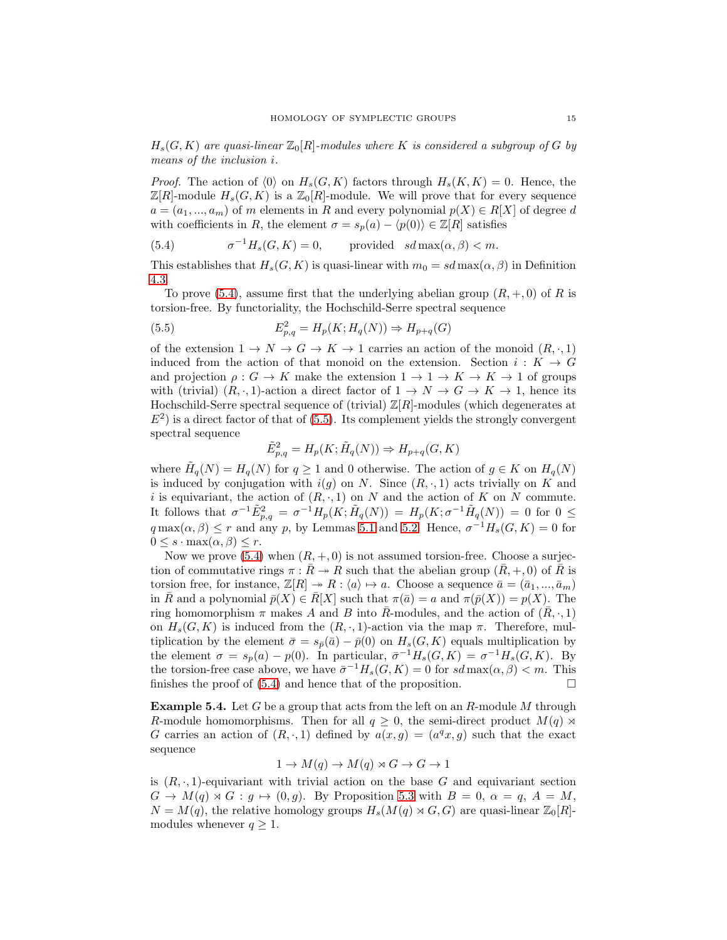$H_s(G, K)$  are quasi-linear  $\mathbb{Z}_0[R]$ -modules where K is considered a subgroup of G by means of the inclusion i.

*Proof.* The action of  $\langle 0 \rangle$  on  $H_s(G, K)$  factors through  $H_s(K, K) = 0$ . Hence, the  $\mathbb{Z}[R]$ -module  $H_s(G, K)$  is a  $\mathbb{Z}_0[R]$ -module. We will prove that for every sequence  $a = (a_1, ..., a_m)$  of m elements in R and every polynomial  $p(X) \in R[X]$  of degree d with coefficients in R, the element  $\sigma = s_p(a) - \langle p(0) \rangle \in \mathbb{Z}[R]$  satisfies

<span id="page-14-1"></span>(5.4) 
$$
\sigma^{-1}H_s(G,K) = 0, \text{ provided } sd\max(\alpha,\beta) < m.
$$

This establishes that  $H_s(G, K)$  is quasi-linear with  $m_0 = sd \max(\alpha, \beta)$  in Definition [4.3.](#page-8-2)

To prove [\(5.4\)](#page-14-1), assume first that the underlying abelian group  $(R, +, 0)$  of R is torsion-free. By functoriality, the Hochschild-Serre spectral sequence

(5.5) 
$$
E_{p,q}^2 = H_p(K; H_q(N)) \Rightarrow H_{p+q}(G)
$$

of the extension  $1 \to N \to G \to K \to 1$  carries an action of the monoid  $(R, \cdot, 1)$ induced from the action of that monoid on the extension. Section  $i: K \to G$ and projection  $\rho: G \to K$  make the extension  $1 \to 1 \to K \to K \to 1$  of groups with (trivial)  $(R, \cdot, 1)$ -action a direct factor of  $1 \to N \to G \to K \to 1$ , hence its Hochschild-Serre spectral sequence of (trivial)  $\mathbb{Z}[R]$ -modules (which degenerates at  $E<sup>2</sup>$ ) is a direct factor of that of [\(5.5\)](#page-14-2). Its complement yields the strongly convergent spectral sequence

<span id="page-14-2"></span>
$$
\tilde{E}_{p,q}^2 = H_p(K; \tilde{H}_q(N)) \Rightarrow H_{p+q}(G, K)
$$

where  $\widetilde{H}_q(N) = H_q(N)$  for  $q \ge 1$  and 0 otherwise. The action of  $g \in K$  on  $H_q(N)$ is induced by conjugation with  $i(g)$  on N. Since  $(R, \cdot, 1)$  acts trivially on K and i is equivariant, the action of  $(R, \cdot, 1)$  on N and the action of K on N commute. It follows that  $\sigma^{-1} \tilde{E}^2_{p,q} = \sigma^{-1} H_p(K; \tilde{H}_q(N)) = H_p(K; \sigma^{-1} \tilde{H}_q(N)) = 0$  for  $0 \leq$  $q \max(\alpha, \beta) \leq r$  and any p, by Lemmas [5.1](#page-11-1) and [5.2.](#page-13-1) Hence,  $\sigma^{-1} H_s(G, K) = 0$  for  $0 \leq s \cdot \max(\alpha, \beta) \leq r.$ 

Now we prove [\(5.4\)](#page-14-1) when  $(R, +, 0)$  is not assumed torsion-free. Choose a surjection of commutative rings  $\pi : R \to R$  such that the abelian group  $(R, +, 0)$  of R is torsion free, for instance,  $\mathbb{Z}[R] \twoheadrightarrow R : \langle a \rangle \mapsto a$ . Choose a sequence  $\bar{a} = (\bar{a}_1, ..., \bar{a}_m)$ in R and a polynomial  $\bar{p}(X) \in \bar{R}[X]$  such that  $\pi(\bar{a}) = a$  and  $\pi(\bar{p}(X)) = p(X)$ . The ring homomorphism  $\pi$  makes A and B into R-modules, and the action of  $(R, \cdot, 1)$ on  $H_s(G, K)$  is induced from the  $(R, \cdot, 1)$ -action via the map  $\pi$ . Therefore, multiplication by the element  $\bar{\sigma} = s_{\bar{p}}(\bar{a}) - \bar{p}(0)$  on  $H_s(G, K)$  equals multiplication by the element  $\sigma = s_p(a) - p(0)$ . In particular,  $\bar{\sigma}^{-1} H_s(G, K) = \sigma^{-1} H_s(G, K)$ . By the torsion-free case above, we have  $\bar{\sigma}^{-1}H_s(G,K) = 0$  for  $sd \max(\alpha, \beta) < m$ . This finishes the proof of  $(5.4)$  and hence that of the proposition.

<span id="page-14-0"></span>Example 5.4. Let G be a group that acts from the left on an R-module M through R-module homomorphisms. Then for all  $q \geq 0$ , the semi-direct product  $M(q) \rtimes$ G carries an action of  $(R, \cdot, 1)$  defined by  $a(x, g) = (a^q x, g)$  such that the exact sequence

$$
1 \to M(q) \to M(q) \rtimes G \to G \to 1
$$

is  $(R, \cdot, 1)$ -equivariant with trivial action on the base G and equivariant section  $G \to M(q) \rtimes G : g \mapsto (0, g)$ . By Proposition [5.3](#page-13-0) with  $B = 0, \alpha = q, A = M$ ,  $N = M(q)$ , the relative homology groups  $H_s(M(q) \rtimes G, G)$  are quasi-linear  $\mathbb{Z}_0[R]$ modules whenever  $q \geq 1$ .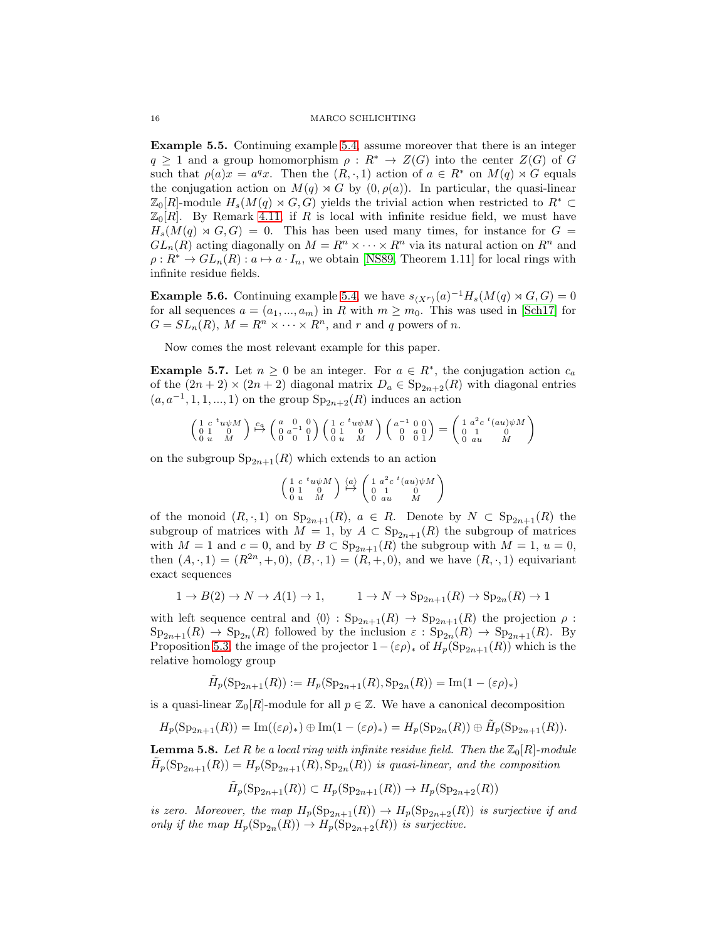Example 5.5. Continuing example [5.4,](#page-14-0) assume moreover that there is an integer  $q \geq 1$  and a group homomorphism  $\rho : R^* \to Z(G)$  into the center  $Z(G)$  of G such that  $\rho(a)x = a^q x$ . Then the  $(R, \cdot, 1)$  action of  $a \in R^*$  on  $M(q) \rtimes G$  equals the conjugation action on  $M(q) \rtimes G$  by  $(0, \rho(a))$ . In particular, the quasi-linear  $\mathbb{Z}_0[R]$ -module  $H_s(M(q) \rtimes G, G)$  yields the trivial action when restricted to  $R^* \subset$  $\mathbb{Z}_0[R]$ . By Remark [4.11,](#page-11-3) if R is local with infinite residue field, we must have  $H_s(M(q) \rtimes G, G) = 0$ . This has been used many times, for instance for  $G =$  $GL_n(R)$  acting diagonally on  $M = R^n \times \cdots \times R^n$  via its natural action on  $R^n$  and  $\rho: R^* \to GL_n(R): a \mapsto a \cdot I_n$ , we obtain [\[NS89,](#page-29-10) Theorem 1.11] for local rings with infinite residue fields.

**Example 5.6.** Continuing example [5.4,](#page-14-0) we have  $s_{\langle X^r \rangle}(a)^{-1}H_s(M(q) \rtimes G, G) = 0$ for all sequences  $a = (a_1, ..., a_m)$  in R with  $m \geq m_0$ . This was used in [\[Sch17\]](#page-29-7) for  $G = SL_n(R)$ ,  $M = R^n \times \cdots \times R^n$ , and r and q powers of n.

Now comes the most relevant example for this paper.

<span id="page-15-0"></span>**Example 5.7.** Let  $n \geq 0$  be an integer. For  $a \in \mathbb{R}^*$ , the conjugation action  $c_a$ of the  $(2n + 2) \times (2n + 2)$  diagonal matrix  $D_a \in \text{Sp}_{2n+2}(R)$  with diagonal entries  $(a, a^{-1}, 1, 1, ..., 1)$  on the group  $Sp_{2n+2}(R)$  induces an action

$$
\left(\begin{smallmatrix} 1 & c & ^t u\psi M \\ 0 & 1 & & 0 \\ 0 & u & & M \end{smallmatrix}\right) \stackrel{c_a}{\mapsto} \left(\begin{smallmatrix} a & 0 & 0 \\ 0 & a^{-1} & 0 \\ 0 & 0 & 1 \end{smallmatrix}\right) \left(\begin{smallmatrix} 1 & c & ^t u\psi M \\ 0 & 1 & & 0 \\ 0 & u & & M \end{smallmatrix}\right) \left(\begin{smallmatrix} a^{-1} & 0 & 0 \\ 0 & a & 0 \\ 0 & 0 & 1 \end{smallmatrix}\right) = \left(\begin{smallmatrix} 1 & a^2c & ^t (au)\psi M \\ 0 & 1 & & 0 \\ 0 & au & & M \end{smallmatrix}\right)
$$

on the subgroup  $Sp_{2n+1}(R)$  which extends to an action

$$
\left(\begin{smallmatrix} 1 & c & ^t u\psi M \\ 0 & 1 & 0 \\ 0 & u & M \end{smallmatrix}\right) \overset{\langle a \rangle}{\mapsto} \left(\begin{smallmatrix} 1 & a^2c & ^t (au)\psi M \\ 0 & 1 & 0 \\ 0 & au & M \end{smallmatrix}\right)
$$

of the monoid  $(R, \cdot, 1)$  on  $Sp_{2n+1}(R)$ ,  $a \in R$ . Denote by  $N \subset Sp_{2n+1}(R)$  the subgroup of matrices with  $M = 1$ , by  $A \subset Sp_{2n+1}(R)$  the subgroup of matrices with  $M = 1$  and  $c = 0$ , and by  $B \subset \text{Sp}_{2n+1}(R)$  the subgroup with  $M = 1$ ,  $u = 0$ , then  $(A, \cdot, 1) = (R^{2n}, +, 0), (B, \cdot, 1) = (R, +, 0),$  and we have  $(R, \cdot, 1)$  equivariant exact sequences

$$
1 \to B(2) \to N \to A(1) \to 1, \qquad 1 \to N \to \mathrm{Sp}_{2n+1}(R) \to \mathrm{Sp}_{2n}(R) \to 1
$$

with left sequence central and  $\langle 0 \rangle : Sp_{2n+1}(R) \to Sp_{2n+1}(R)$  the projection  $\rho$ :  $\text{Sp}_{2n+1}(R) \to \text{Sp}_{2n}(R)$  followed by the inclusion  $\varepsilon : \text{Sp}_{2n}(R) \to \text{Sp}_{2n+1}(R)$ . By Proposition [5.3,](#page-13-0) the image of the projector  $1-(\epsilon \rho)_*$  of  $H_p(\mathrm{Sp}_{2n+1}(R))$  which is the relative homology group

$$
\tilde{H}_p(\operatorname{Sp}_{2n+1}(R)):=H_p(\operatorname{Sp}_{2n+1}(R),\operatorname{Sp}_{2n}(R))=\operatorname{Im}(1-(\varepsilon\rho)_*)
$$

is a quasi-linear  $\mathbb{Z}_0[R]$ -module for all  $p \in \mathbb{Z}$ . We have a canonical decomposition

$$
H_p(\operatorname{Sp}_{2n+1}(R)) = \operatorname{Im}((\varepsilon \rho)_*) \oplus \operatorname{Im}(1 - (\varepsilon \rho)_*) = H_p(\operatorname{Sp}_{2n}(R)) \oplus \widetilde{H}_p(\operatorname{Sp}_{2n+1}(R)).
$$

<span id="page-15-1"></span>**Lemma 5.8.** Let R be a local ring with infinite residue field. Then the  $\mathbb{Z}_0[R]$ -module  $\widetilde{H}_p(\mathrm{Sp}_{2n+1}(R)) = H_p(\mathrm{Sp}_{2n+1}(R), \mathrm{Sp}_{2n}(R))$  is quasi-linear, and the composition

$$
\tilde{H}_p(\operatorname{Sp}_{2n+1}(R)) \subset H_p(\operatorname{Sp}_{2n+1}(R)) \to H_p(\operatorname{Sp}_{2n+2}(R))
$$

is zero. Moreover, the map  $H_p(\mathrm{Sp}_{2n+1}(R)) \to H_p(\mathrm{Sp}_{2n+2}(R))$  is surjective if and only if the map  $H_p(\mathrm{Sp}_{2n}(R)) \to H_p(\mathrm{Sp}_{2n+2}(R))$  is surjective.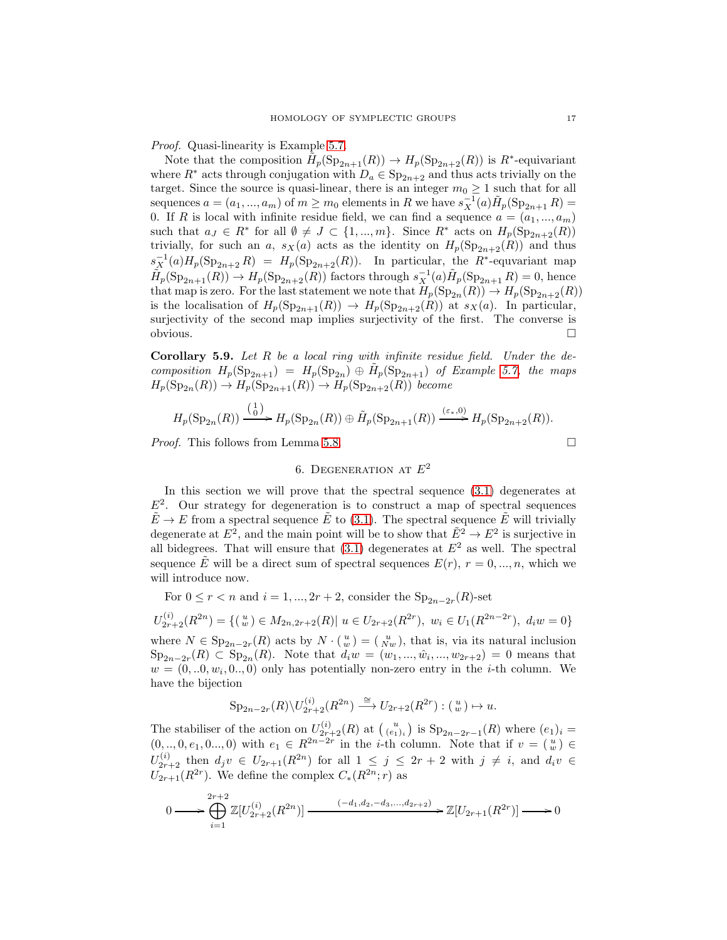Proof. Quasi-linearity is Example [5.7.](#page-15-0)

Note that the composition  $\tilde{H}_p(\text{Sp}_{2n+1}(R)) \to H_p(\text{Sp}_{2n+2}(R))$  is  $R^*$ -equivariant where  $R^*$  acts through conjugation with  $D_a \in \text{Sp}_{2n+2}$  and thus acts trivially on the target. Since the source is quasi-linear, there is an integer  $m_0 \geq 1$  such that for all sequences  $a = (a_1, ..., a_m)$  of  $m \ge m_0$  elements in R we have  $s_X^{-1}(a) \tilde{H}_p(\text{Sp}_{2n+1} R) =$ 0. If R is local with infinite residue field, we can find a sequence  $a = (a_1, ..., a_m)$ such that  $a_J \in R^*$  for all  $\emptyset \neq J \subset \{1, ..., m\}$ . Since  $R^*$  acts on  $H_p(\mathrm{Sp}_{2n+2}(R))$ trivially, for such an a,  $s_X(a)$  acts as the identity on  $H_p(\mathrm{Sp}_{2n+2}(R))$  and thus  $s_X^{-1}(a)H_p(\mathrm{Sp}_{2n+2} R) = H_p(\mathrm{Sp}_{2n+2}(R)).$  In particular, the  $R^*$ -equvariant map  $\tilde{H}_p(\mathrm{Sp}_{2n+1}(R)) \to H_p(\mathrm{Sp}_{2n+2}(R))$  factors through  $s_X^{-1}(a)\tilde{H}_p(\mathrm{Sp}_{2n+1} R) = 0$ , hence that map is zero. For the last statement we note that  $H_p(\mathrm{Sp}_{2n}(R)) \to H_p(\mathrm{Sp}_{2n+2}(R))$ is the localisation of  $H_p(\text{Sp}_{2n+1}(R)) \to H_p(\text{Sp}_{2n+2}(R))$  at  $s_X(a)$ . In particular, surjectivity of the second map implies surjectivity of the first. The converse is obvious.

<span id="page-16-1"></span>**Corollary 5.9.** Let  $R$  be a local ring with infinite residue field. Under the decomposition  $H_p(\mathrm{Sp}_{2n+1}) = H_p(\mathrm{Sp}_{2n}) \oplus \tilde{H}_p(\mathrm{Sp}_{2n+1})$  of Example [5.7,](#page-15-0) the maps  $H_p(\mathrm{Sp}_{2n}(R)) \to H_p(\mathrm{Sp}_{2n+1}(R)) \to H_p(\mathrm{Sp}_{2n+2}(R))$  become

$$
H_p(\mathrm{Sp}_{2n}(R)) \xrightarrow{\left(\begin{smallmatrix}1\\0\end{smallmatrix}\right)} H_p(\mathrm{Sp}_{2n}(R)) \oplus \tilde{H}_p(\mathrm{Sp}_{2n+1}(R)) \xrightarrow{(\varepsilon_*,0)} H_p(\mathrm{Sp}_{2n+2}(R)).
$$

<span id="page-16-0"></span>*Proof.* This follows from Lemma [5.8.](#page-15-1)  $\Box$ 

# 6. DEGENERATION AT  $E^2$

In this section we will prove that the spectral sequence [\(3.1\)](#page-4-1) degenerates at  $E<sup>2</sup>$ . Our strategy for degeneration is to construct a map of spectral sequences  $\tilde{E} \to E$  from a spectral sequence  $\tilde{E}$  to [\(3.1\)](#page-4-1). The spectral sequence  $\tilde{E}$  will trivially degenerate at  $E^2$ , and the main point will be to show that  $\tilde{E}^2 \to E^2$  is surjective in all bidegrees. That will ensure that  $(3.1)$  degenerates at  $E<sup>2</sup>$  as well. The spectral sequence  $\tilde{E}$  will be a direct sum of spectral sequences  $E(r)$ ,  $r = 0, ..., n$ , which we will introduce now.

For  $0 \le r < n$  and  $i = 1, ..., 2r + 2$ , consider the  $Sp_{2n-2r}(R)$ -set

$$
U_{2r+2}^{(i)}(R^{2n}) = \{ (w) \in M_{2n,2r+2}(R) | u \in U_{2r+2}(R^{2r}), w_i \in U_1(R^{2n-2r}), d_i w = 0 \}
$$
  
where  $N \in \text{Sp}_{2n-2r}(R)$  acts by  $N \cdot {u \choose w} = {u \choose Nw}$ , that is, via its natural inclusion

 $\text{Sp}_{2n-2r}(R) \subset \text{Sp}_{2n}(R)$ . Note that  $d_i w = (w_1, ..., \hat{w}_i, ..., w_{2r+2}) = 0$  means that  $w = (0,..0, w_i, 0, ., 0)$  only has potentially non-zero entry in the *i*-th column. We have the bijection

$$
\mathrm{Sp}_{2n-2r}(R)\backslash U_{2r+2}^{(i)}(R^{2n})\stackrel{\cong}{\longrightarrow} U_{2r+2}(R^{2r}):(\begin{smallmatrix}u\\w\end{smallmatrix})\mapsto u.
$$

The stabiliser of the action on  $U_{2r+2}^{(i)}(R)$  at  $(u_{(e_1)_i}^u)$  is  $Sp_{2n-2r-1}(R)$  where  $(e_1)_i =$  $(0, ..., 0, e_1, 0, ..., 0)$  with  $e_1 \in R^{2n-2r}$  in the *i*-th column. Note that if  $v = \binom{u}{w} \in$  $U_{2r+2}^{(i)}$  then  $d_jv \in U_{2r+1}(R^{2n})$  for all  $1 \leq j \leq 2r+2$  with  $j \neq i$ , and  $d_iv \in$  $U_{2r+1}(R^{2r})$ . We define the complex  $C_*(R^{2n};r)$  as

$$
0 \longrightarrow \bigoplus_{i=1}^{2r+2} \mathbb{Z}[U_{2r+2}^{(i)}(R^{2n})] \longrightarrow \longrightarrow \longrightarrow \mathbb{Z}[U_{2r+1}(R^{2r})] \longrightarrow 0
$$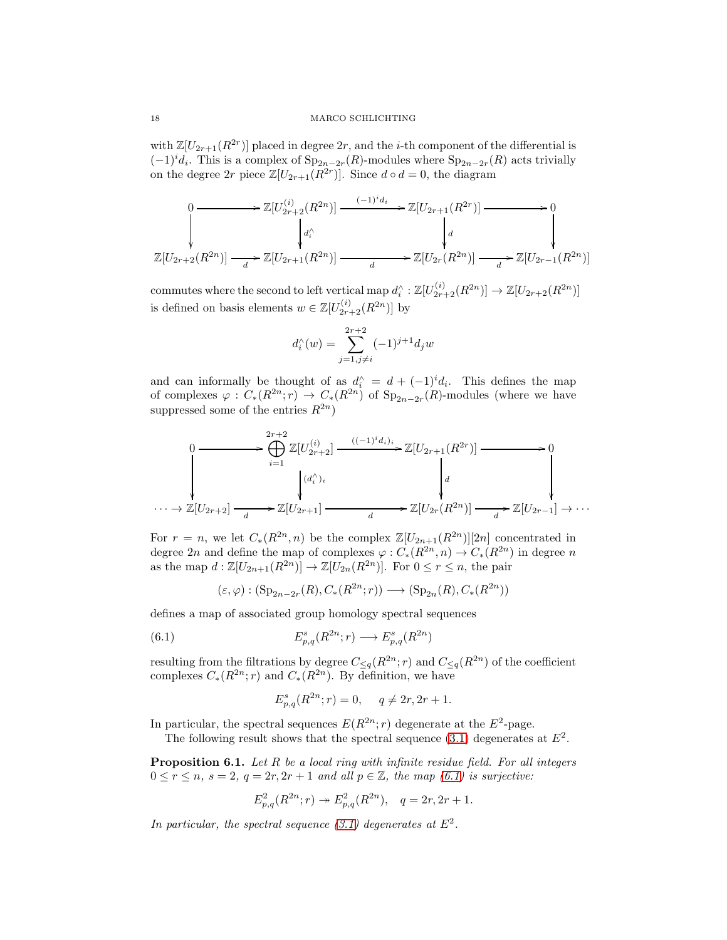with  $\mathbb{Z}[U_{2r+1}(R^{2r})]$  placed in degree  $2r$ , and the *i*-th component of the differential is  $(-1)^{i}d_{i}$ . This is a complex of  $\text{Sp}_{2n-2r}(R)$ -modules where  $\text{Sp}_{2n-2r}(R)$  acts trivially on the degree  $2r$  piece  $\mathbb{Z}[U_{2r+1}(R^{2r})]$ . Since  $d \circ d = 0$ , the diagram

$$
\begin{aligned}\n0 &\longrightarrow \mathbb{Z}[U_{2r+2}^{(i)}(R^{2n})] \xrightarrow{\qquad (-1)^{i}d_{i}} \mathbb{Z}[U_{2r+1}(R^{2r})] \xrightarrow{\qquad \qquad } 0 \\
&\downarrow d_{i}^{\wedge} \qquad \qquad d_{i}^{\wedge} \qquad \qquad d \\
\mathbb{Z}[U_{2r+2}(R^{2n})] \xrightarrow{\qquad \qquad } \mathbb{Z}[U_{2r+1}(R^{2n})] \xrightarrow{\qquad \qquad } \mathbb{Z}[U_{2r}(R^{2n})] \xrightarrow{\qquad \qquad } \mathbb{Z}[U_{2r-1}(R^{2n})] \n\end{aligned}
$$

commutes where the second to left vertical map  $d_i^{\wedge} : \mathbb{Z}[U_{2r+2}^{(i)}(R^{2n})] \to \mathbb{Z}[U_{2r+2}(R^{2n})]$ is defined on basis elements  $w \in \mathbb{Z}[U_{2r+2}^{(i)}(R^{2n})]$  by

$$
d_i^{\wedge}(w) = \sum_{j=1, j \neq i}^{2r+2} (-1)^{j+1} d_j w
$$

and can informally be thought of as  $d_i^{\wedge} = d + (-1)^i d_i$ . This defines the map of complexes  $\varphi: C_*(R^{2n}; r) \to C_*(R^{2n})$  of  $Sp_{2n-2r}(R)$ -modules (where we have suppressed some of the entries  $R^{2n}$ )

$$
\begin{array}{ccc}\n0 & \xrightarrow{\begin{array}{c}\n2r+2 \\
\longleftarrow\\
\end{array}} \mathbb{Z}[U_{2r+2}^{(i)}] \xrightarrow{\begin{array}{c}\n((-1)^i d_i)_i \\
\longleftarrow\\
\end{array}} \mathbb{Z}[U_{2r+1}(R^{2r})] \xrightarrow{\begin{array}{c}\n\longleftarrow\\
\end{array}} 0 \\
\downarrow^{(d_i')_i} & \downarrow^{(d_i')_i} \\
\downarrow^{(d_i')_i} & \downarrow^{(d_i')_i} \\
\downarrow^{(d_i')_i} & \downarrow^{(d_i')_i} \\
\downarrow^{(d_i')_i} & \downarrow^{(d_i')_i} \\
\downarrow^{(d_i')_i} & \downarrow^{(d_i')_i} \\
\downarrow^{(d_i')_i} & \downarrow^{(d_i')_i} \\
\downarrow^{(d_i')_i} & \downarrow^{(d_i')_i} \\
\downarrow^{(d_i')_i} & \downarrow^{(d_i')_i} \\
\downarrow^{(d_i')_i} & \downarrow^{(d_i')_i} \\
\downarrow^{(d_i')_i} & \downarrow^{(d_i')_i} \\
\downarrow^{(d_i')_i} & \downarrow^{(d_i')_i} \\
\downarrow^{(d_i')_i} & \downarrow^{(d_i')_i} \\
\downarrow^{(d_i')_i} & \downarrow^{(d_i')_i} \\
\downarrow^{(d_i')_i} & \downarrow^{(d_i')_i} \\
\downarrow^{(d_i')_i} & \downarrow^{(d_i')_i} \\
\downarrow^{(d_i')_i} & \downarrow^{(d_i')_i} \\
\downarrow^{(d_i')_i} & \downarrow^{(d_i')_i} \\
\downarrow^{(d_i')_i} & \downarrow^{(d_i')_i} \\
\downarrow^{(d_i')_i} & \downarrow^{(d_i')_i} \\
\downarrow^{(d_i')_i} & \downarrow^{(d_i')_i} \\
\downarrow^{(d_i')_i} & \downarrow^{(d_i')_i} \\
\downarrow^{(d_i')_i} & \downarrow^{(d_i')_i} \\
\downarrow^{(d_i')_i} & \downarrow^{(d_i')_i} \\
\downarrow^{(d_i')_i} & \downarrow^{(d_i')_i} \\
\downarrow^{
$$

For  $r = n$ , we let  $C_*(R^{2n}, n)$  be the complex  $\mathbb{Z}[U_{2n+1}(R^{2n})][2n]$  concentrated in degree 2n and define the map of complexes  $\varphi: C_*(R^{2n}, n) \to C_*(R^{2n})$  in degree n as the map  $d : \mathbb{Z}[U_{2n+1}(R^{2n})] \to \mathbb{Z}[U_{2n}(R^{2n})]$ . For  $0 \leq r \leq n$ , the pair

$$
(\varepsilon, \varphi) : (\operatorname{Sp}_{2n-2r}(R), C_*(R^{2n}; r)) \longrightarrow (\operatorname{Sp}_{2n}(R), C_*(R^{2n}))
$$

defines a map of associated group homology spectral sequences

(6.1) 
$$
E_{p,q}^s(R^{2n};r) \longrightarrow E_{p,q}^s(R^{2n})
$$

resulting from the filtrations by degree  $C_{\leq q}(R^{2n}; r)$  and  $C_{\leq q}(R^{2n})$  of the coefficient complexes  $C_*(R^{2n}; r)$  and  $C_*(R^{2n})$ . By definition, we have

<span id="page-17-0"></span>
$$
E_{p,q}^{s}(R^{2n};r) = 0, \quad q \neq 2r, 2r + 1.
$$

In particular, the spectral sequences  $E(R^{2n}; r)$  degenerate at the  $E^2$ -page.

The following result shows that the spectral sequence  $(3.1)$  degenerates at  $E^2$ .

<span id="page-17-1"></span>**Proposition 6.1.** Let  $R$  be a local ring with infinite residue field. For all integers  $0 \le r \le n$ ,  $s = 2$ ,  $q = 2r, 2r + 1$  and all  $p \in \mathbb{Z}$ , the map [\(6.1\)](#page-17-0) is surjective:

$$
E_{p,q}^2(R^{2n};r) \twoheadrightarrow E_{p,q}^2(R^{2n}), \quad q = 2r, 2r+1.
$$

In particular, the spectral sequence [\(3.1\)](#page-4-1) degenerates at  $E^2$ .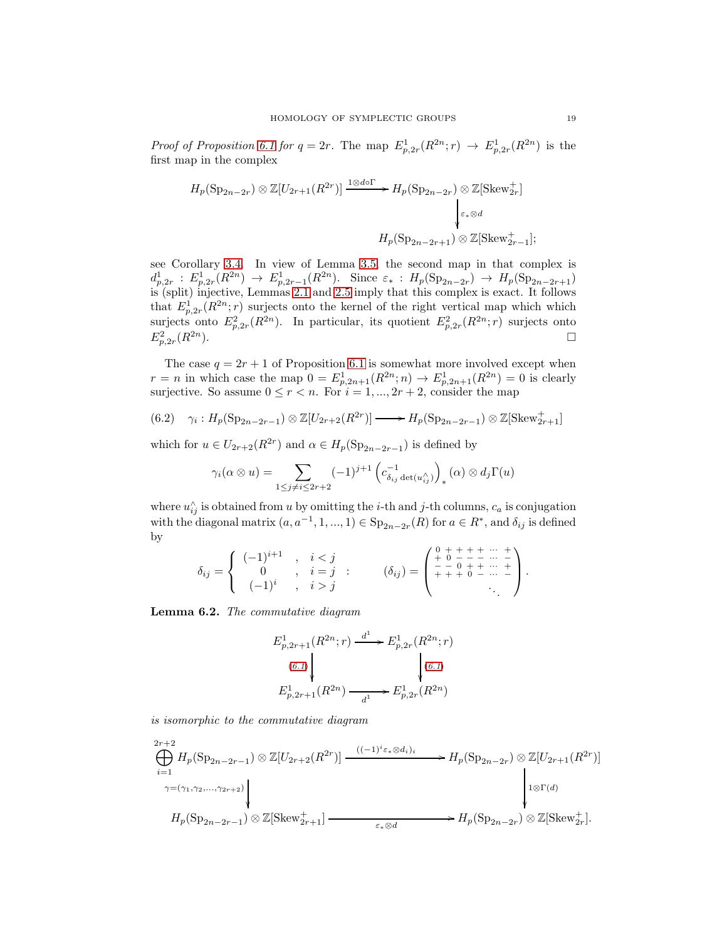*Proof of Proposition [6.1](#page-17-1) for*  $q = 2r$ *.* The map  $E_{p,2r}^1(R^{2n}; r) \rightarrow E_{p,2r}^1(R^{2n})$  is the first map in the complex

$$
H_p(\text{Sp}_{2n-2r}) \otimes \mathbb{Z}[U_{2r+1}(R^{2r})] \xrightarrow{1 \otimes d \circ \Gamma} H_p(\text{Sp}_{2n-2r}) \otimes \mathbb{Z}[\text{Skew}_{2r}^+]
$$
  

$$
\downarrow_{\varepsilon_* \otimes d}
$$
  

$$
H_p(\text{Sp}_{2n-2r+1}) \otimes \mathbb{Z}[\text{Skew}_{2r-1}^+];
$$

see Corollary [3.4.](#page-6-1) In view of Lemma [3.5,](#page-6-2) the second map in that complex is  $d_{p,2r}^1 : E_{p,2r}^1(R^{2n}) \to E_{p,2r-1}^1(R^{2n})$ . Since  $\varepsilon_* : H_p(\text{Sp}_{2n-2r}) \to H_p(\text{Sp}_{2n-2r+1})$ is (split) injective, Lemmas [2.1](#page-2-1) and [2.5](#page-4-2) imply that this complex is exact. It follows that  $E_{p,2r}^1(R^{2n};r)$  surjects onto the kernel of the right vertical map which which surjects onto  $E_{p,2r}^2(R^{2n})$ . In particular, its quotient  $E_{p,2r}^2(R^{2n};r)$  surjects onto  $E^2_{p,2r}$  $(R^{2n}).$ 

The case  $q = 2r + 1$  of Proposition [6.1](#page-17-1) is somewhat more involved except when  $r = n$  in which case the map  $0 = E_{p,2n+1}^1(R^{2n}; n) \to E_{p,2n+1}^1(R^{2n}) = 0$  is clearly surjective. So assume  $0 \le r < n$ . For  $i = 1, ..., 2r + 2$ , consider the map

<span id="page-18-1"></span>(6.2) 
$$
\gamma_i: H_p(\mathrm{Sp}_{2n-2r-1}) \otimes \mathbb{Z}[U_{2r+2}(R^{2r})] \longrightarrow H_p(\mathrm{Sp}_{2n-2r-1}) \otimes \mathbb{Z}[\mathrm{Skew}_{2r+1}^+]
$$

which for  $u \in U_{2r+2}(R^{2r})$  and  $\alpha \in H_p(\mathrm{Sp}_{2n-2r-1})$  is defined by

$$
\gamma_i(\alpha \otimes u) = \sum_{1 \leq j \neq i \leq 2r+2} (-1)^{j+1} \left( c_{\delta_{ij} \det(u_{ij}^{\wedge})}^{-1} \right)_*(\alpha) \otimes d_j \Gamma(u)
$$

where  $u_{ij}^{\wedge}$  is obtained from u by omitting the i-th and j-th columns,  $c_a$  is conjugation with the diagonal matrix  $(a, a^{-1}, 1, ..., 1) \in \text{Sp}_{2n-2r}(R)$  for  $a \in R^*$ , and  $\delta_{ij}$  is defined by

$$
\delta_{ij} = \left\{ \begin{array}{ccc} (-1)^{i+1} & , & i < j \\ 0 & , & i = j \\ (-1)^{i} & , & i > j \end{array} \right. ; \qquad (\delta_{ij}) = \left( \begin{array}{ccc} 0 & + + + + & \cdots & + \\ + & 0 & - - & \cdots & - \\ + & - & 0 & + + & \cdots & + \\ + & + & 0 & - & \cdots & - \\ & & & & \ddots & \end{array} \right).
$$

<span id="page-18-0"></span>Lemma 6.2. The commutative diagram

$$
E_{p,2r+1}^{1}(R^{2n};r) \xrightarrow{d^{1}} E_{p,2r}^{1}(R^{2n};r)
$$
  
\n(6.1)  
\n
$$
E_{p,2r+1}^{1}(R^{2n}) \xrightarrow{d^{1}} E_{p,2r}^{1}(R^{2n})
$$

is isomorphic to the commutative diagram

$$
\bigoplus_{i=1}^{2r+2} H_p(\text{Sp}_{2n-2r-1}) \otimes \mathbb{Z}[U_{2r+2}(R^{2r})] \xrightarrow{((-1)^i \varepsilon_* \otimes d_i)_i} H_p(\text{Sp}_{2n-2r}) \otimes \mathbb{Z}[U_{2r+1}(R^{2r})]
$$
\n
$$
\longrightarrow H_p(\text{Sp}_{2n-2r-1}) \otimes \mathbb{Z}[\text{Skew}_{2r+1}^+] \xrightarrow{\varepsilon_* \otimes d} H_p(\text{Sp}_{2n-2r}) \otimes \mathbb{Z}[\text{Skew}_{2r}^+].
$$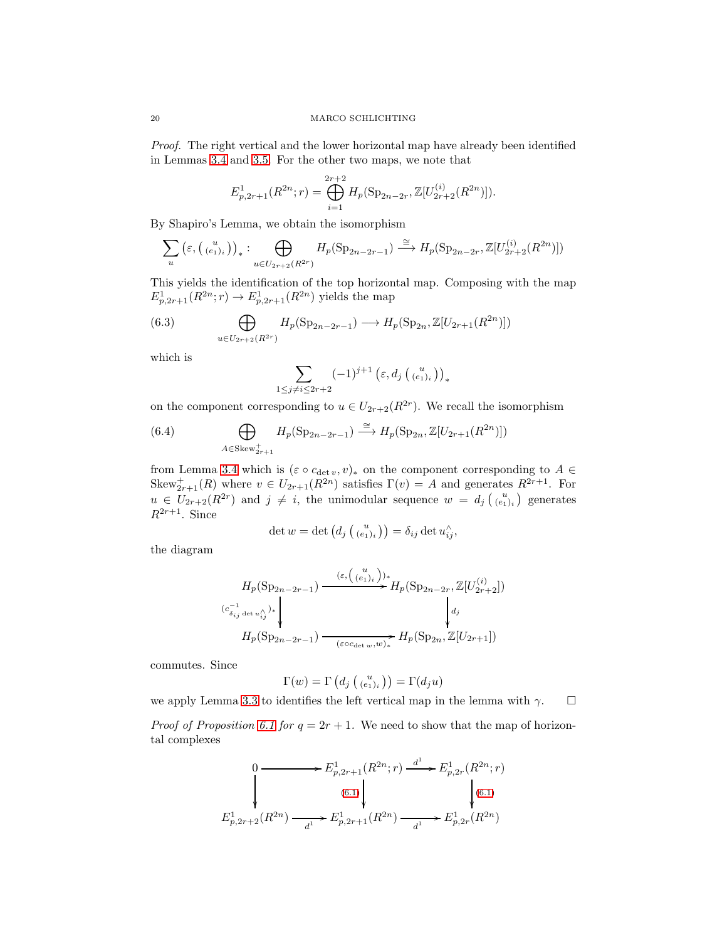Proof. The right vertical and the lower horizontal map have already been identified in Lemmas [3.4](#page-6-1) and [3.5.](#page-6-2) For the other two maps, we note that

$$
E_{p,2r+1}^1(R^{2n};r) = \bigoplus_{i=1}^{2r+2} H_p(\text{Sp}_{2n-2r}, \mathbb{Z}[U_{2r+2}^{(i)}(R^{2n})]).
$$

By Shapiro's Lemma, we obtain the isomorphism

$$
\sum_{u} \left( \varepsilon, \left( \begin{smallmatrix} u \\ (e_1)_i \end{smallmatrix} \right) \right)_* : \bigoplus_{u \in U_{2r+2}(R^{2r})} H_p(\mathrm{Sp}_{2n-2r-1}) \stackrel{\cong}{\longrightarrow} H_p(\mathrm{Sp}_{2n-2r}, \mathbb{Z}[U_{2r+2}^{(i)}(R^{2n})])
$$

This yields the identification of the top horizontal map. Composing with the map  $E_{p,2r+1}^1(R^{2n};r) \to E_{p,2r+1}^1(R^{2n})$  yields the map

(6.3) 
$$
\bigoplus_{u \in U_{2r+2}(R^{2r})} H_p(\mathrm{Sp}_{2n-2r-1}) \longrightarrow H_p(\mathrm{Sp}_{2n}, \mathbb{Z}[U_{2r+1}(R^{2n})])
$$

which is

$$
\sum_{1 \leq j \neq i \leq 2r+2} (-1)^{j+1} \left(\varepsilon, d_j\left(\begin{smallmatrix} u \\ (e_1)_i \end{smallmatrix}\right)\right)_*
$$

on the component corresponding to  $u \in U_{2r+2}(R^{2r})$ . We recall the isomorphism

(6.4) 
$$
\bigoplus_{A \in \text{Skew}_{2r+1}^+} H_p(\text{Sp}_{2n-2r-1}) \xrightarrow{\cong} H_p(\text{Sp}_{2n}, \mathbb{Z}[U_{2r+1}(R^{2n})])
$$

from Lemma [3.4](#page-6-1) which is  $(\varepsilon \circ c_{\det v}, v)_*$  on the component corresponding to  $A \in$ Skew<sup>+</sup><sub>2r+1</sub>(R) where  $v \in U_{2r+1}(R^{2n})$  satisfies  $\Gamma(v) = A$  and generates  $R^{2r+1}$ . For  $u \in U_{2r+2}(R^{2r})$  and  $j \neq i$ , the unimodular sequence  $w = d_j {u \choose (e_1)_i}$  generates  $R^{2r+1}$ . Since

$$
\det w = \det (d_j\left(\begin{smallmatrix} u \\ (e_1)_i \end{smallmatrix}\right)) = \delta_{ij} \det u_{ij}^{\wedge},
$$

the diagram

$$
\begin{array}{c} \displaystyle H_p(\operatorname{Sp}_{2n-2r-1})\xrightarrow{\qquad \ \ (\varepsilon,\left(\frac{u}{(e_1)_i}\right))_*} H_p(\operatorname{Sp}_{2n-2r},\mathbb{Z}[U_{2r+2}^{(i)}])\\ \stackrel{(c_{\delta_{ij}\det u'_{ij}}^{\cdot})_*}{=} \left\downarrow\right. \\ \displaystyle\qquad \qquad H_p(\operatorname{Sp}_{2n-2r-1})\xrightarrow{\qquad \ \ (\varepsilon\circ c_{\det w},w)_*} H_p(\operatorname{Sp}_{2n},\mathbb{Z}[U_{2r+1}]) \end{array}
$$

commutes. Since

$$
\Gamma(w) = \Gamma\left(d_j\left(\begin{smallmatrix} u \\ (e_1)_i \end{smallmatrix}\right)\right) = \Gamma(d_j u)
$$

we apply Lemma [3.3](#page-5-0) to identifies the left vertical map in the lemma with  $\gamma$ .

*Proof of Proposition [6.1](#page-17-1) for*  $q = 2r + 1$ *.* We need to show that the map of horizontal complexes

$$
E_{p,2r+1}^1(R^{2n};r) \xrightarrow{d^1} E_{p,2r}^1(R^{2n};r)
$$
\n
$$
\downarrow
$$
\n
$$
E_{p,2r+2}^1(R^{2n}) \xrightarrow{d^1} E_{p,2r+1}^1(R^{2n}) \xrightarrow{d^1} E_{p,2r}^1(R^{2n})
$$
\n
$$
E_{p,2r+2}^1(R^{2n}) \xrightarrow{d^1} E_{p,2r+1}^1(R^{2n}) \xrightarrow{d^1} E_{p,2r}^1(R^{2n})
$$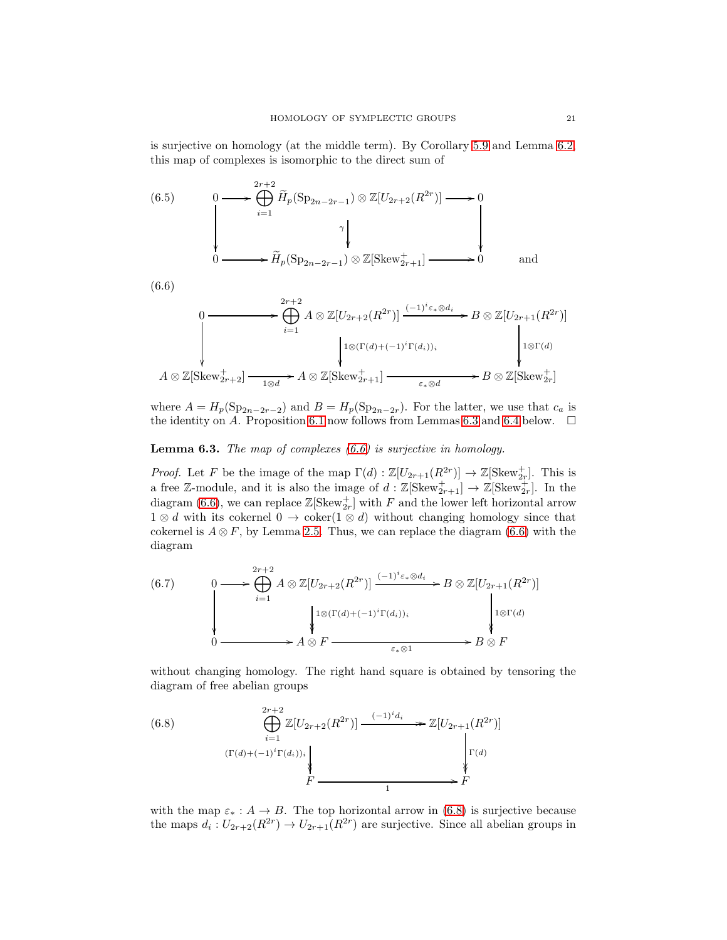is surjective on homology (at the middle term). By Corollary [5.9](#page-16-1) and Lemma [6.2,](#page-18-0) this map of complexes is isomorphic to the direct sum of

<span id="page-20-4"></span>(6.5) 0 / 2 Mr+2 i=1 Hep(Sp2n−2r−<sup>1</sup> ) ⊗ Z[U2r+2(R 2r )] γ /0 <sup>0</sup> /Hep(Sp2n−2r−<sup>1</sup> ) ⊗ Z[Skew<sup>+</sup> <sup>2</sup>r+1] /0 and

(6.6)

<span id="page-20-1"></span>
$$
0 \longrightarrow \bigoplus_{i=1}^{2r+2} A \otimes \mathbb{Z}[U_{2r+2}(R^{2r})] \xrightarrow{(-1)^i \varepsilon_* \otimes d_i} B \otimes \mathbb{Z}[U_{2r+1}(R^{2r})]
$$
  

$$
A \otimes \mathbb{Z}[\text{Skew}_{2r+2}^+] \xrightarrow[1 \otimes d]{} A \otimes \mathbb{Z}[\text{Skew}_{2r+1}^+] \xrightarrow[\varepsilon_* \otimes d]{} B \otimes \mathbb{Z}[\text{Skew}_{2r}^+]
$$

where  $A = H_p(\mathrm{Sp}_{2n-2r-2})$  and  $B = H_p(\mathrm{Sp}_{2n-2r})$ . For the latter, we use that  $c_a$  is the identity on A. Proposition [6.1](#page-17-1) now follows from Lemmas [6.3](#page-20-0) and [6.4](#page-21-0) below.  $\Box$ 

## <span id="page-20-0"></span>**Lemma 6.3.** The map of complexes  $(6.6)$  is surjective in homology.

*Proof.* Let F be the image of the map  $\Gamma(d) : \mathbb{Z}[U_{2r+1}(R^{2r})] \to \mathbb{Z}[\text{Skew}_{2r}^+]$ . This is a free Z-module, and it is also the image of  $d : \mathbb{Z}[\text{Skew}^+_{2r+1}] \to \mathbb{Z}[\text{Skew}^+_{2r}]$ . In the diagram [\(6.6\)](#page-20-1), we can replace  $\mathbb{Z}[\text{Skew}^+_{2r}]$  with F and the lower left horizontal arrow  $1 \otimes d$  with its cokernel  $0 \rightarrow \text{coker}(1 \otimes d)$  without changing homology since that cokernel is  $A \otimes F$ , by Lemma [2.5.](#page-4-2) Thus, we can replace the diagram [\(6.6\)](#page-20-1) with the diagram

<span id="page-20-3"></span>
$$
(6.7) \qquad 0 \longrightarrow \bigoplus_{i=1}^{2r+2} A \otimes \mathbb{Z}[U_{2r+2}(R^{2r})] \xrightarrow{(-1)^i \varepsilon_* \otimes d_i} B \otimes \mathbb{Z}[U_{2r+1}(R^{2r})] \qquad \downarrow
$$
  

$$
\downarrow 1 \otimes (\Gamma(d) + (-1)^i \Gamma(d_i))_i \qquad \downarrow 1 \otimes \Gamma(d)
$$
  

$$
0 \longrightarrow A \otimes F \xrightarrow{\varepsilon_* \otimes 1} B \otimes F
$$

without changing homology. The right hand square is obtained by tensoring the diagram of free abelian groups

<span id="page-20-2"></span>(6.8) 
$$
\bigoplus_{i=1}^{2r+2} \mathbb{Z}[U_{2r+2}(R^{2r})] \xrightarrow{(-1)^i d_i} \mathbb{Z}[U_{2r+1}(R^{2r})] \longrightarrow \mathbb{Z}[U_{2r+1}(R^{2r})] \longrightarrow \mathbb{Z}[U_{2r+1}(R^{2r})] \longrightarrow \mathbb{Z}[U_{2r+1}(R^{2r})] \longrightarrow \mathbb{Z}[U_{2r+1}(R^{2r})] \longrightarrow \mathbb{Z}[U_{2r+1}(R^{2r})] \longrightarrow \mathbb{Z}[U_{2r+1}(R^{2r})] \longrightarrow \mathbb{Z}[U_{2r+1}(R^{2r})] \longrightarrow \mathbb{Z}[U_{2r+1}(R^{2r})] \longrightarrow \mathbb{Z}[U_{2r+1}(R^{2r})] \longrightarrow \mathbb{Z}[U_{2r+1}(R^{2r})] \longrightarrow \mathbb{Z}[U_{2r+1}(R^{2r})] \longrightarrow \mathbb{Z}[U_{2r+1}(R^{2r})] \longrightarrow \mathbb{Z}[U_{2r+1}(R^{2r})] \longrightarrow \mathbb{Z}[U_{2r+1}(R^{2r})] \longrightarrow \mathbb{Z}[U_{2r+1}(R^{2r})] \longrightarrow \mathbb{Z}[U_{2r+1}(R^{2r})] \longrightarrow \mathbb{Z}[U_{2r+1}(R^{2r})] \longrightarrow \mathbb{Z}[U_{2r+1}(R^{2r})] \longrightarrow \mathbb{Z}[U_{2r+1}(R^{2r})] \longrightarrow \mathbb{Z}[U_{2r+1}(R^{2r})] \longrightarrow \mathbb{Z}[U_{2r+1}(R^{2r})] \longrightarrow \mathbb{Z}[U_{2r+1}(R^{2r})] \longrightarrow \mathbb{Z}[U_{2r+1}(R^{2r})] \longrightarrow \mathbb{Z}[U_{2r+1}(R^{2r})] \longrightarrow \mathbb{Z}[U_{2r+1}(R^{2r})] \longrightarrow \mathbb{Z}[U_{2r+1}(R^{2r})] \longrightarrow \mathbb{Z}[U_{2r+1}(R^{2r})] \longrightarrow \mathbb{Z}[U_{2r+1}(R^{2r})] \longrightarrow \mathbb{Z}[U_{2r+1}(R^{2r})] \longrightarrow \mathbb{Z}[U_{2r+1}(R^{2r})] \longrightarrow \mathbb{Z}[U_{2r+1}(R^{2r})] \longrightarrow \mathbb{Z}[U_{2r+1}(R^{2r})] \longrightarrow \mathbb{Z}[U_{2r+1}(R^{2r
$$

with the map  $\varepsilon_* : A \to B$ . The top horizontal arrow in [\(6.8\)](#page-20-2) is surjective because the maps  $d_i: U_{2r+2}(R^{2r}) \to U_{2r+1}(R^{2r})$  are surjective. Since all abelian groups in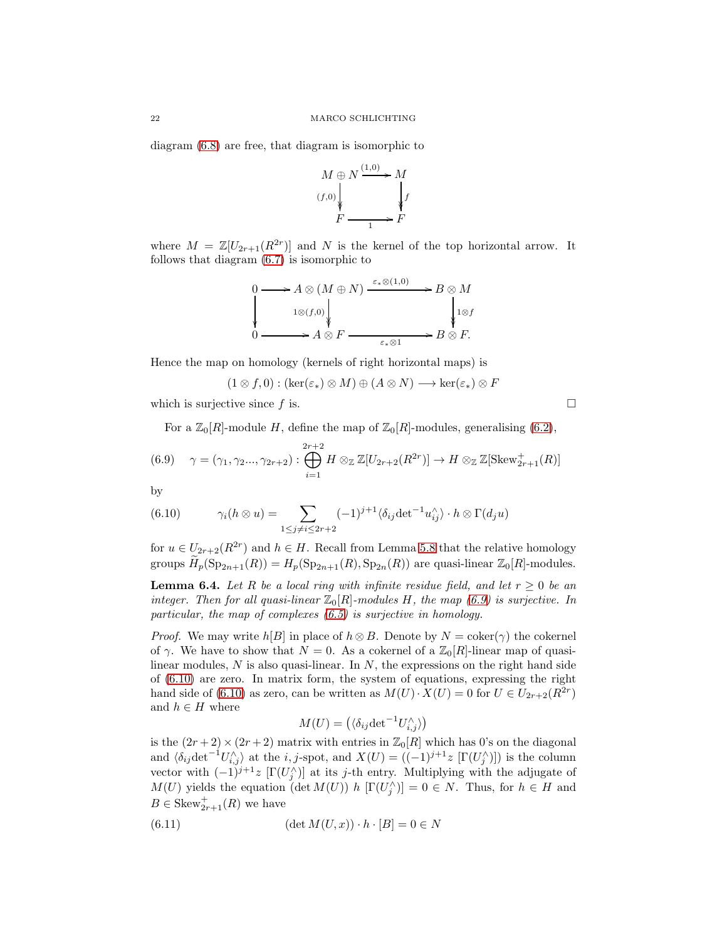diagram [\(6.8\)](#page-20-2) are free, that diagram is isomorphic to



where  $M = \mathbb{Z}[U_{2r+1}(R^{2r})]$  and N is the kernel of the top horizontal arrow. It follows that diagram [\(6.7\)](#page-20-3) is isomorphic to

$$
\begin{array}{ccc}\n0 & \longrightarrow A \otimes (M \oplus N) \xrightarrow{\varepsilon_* \otimes (1,0)} & B \otimes M \\
 & 1 \otimes (f,0) & & \downarrow 1 \otimes f \\
0 & \longrightarrow A \otimes F & \xrightarrow{\varepsilon_* \otimes 1} & B \otimes F.\n\end{array}
$$

Hence the map on homology (kernels of right horizontal maps) is

 $(1 \otimes f, 0) : (\ker(\varepsilon_*) \otimes M) \oplus (A \otimes N) \longrightarrow \ker(\varepsilon_*) \otimes F$ 

which is surjective since f is.  $\square$ 

<span id="page-21-1"></span>For a  $\mathbb{Z}_0[R]$ -module H, define the map of  $\mathbb{Z}_0[R]$ -modules, generalising [\(6.2\)](#page-18-1),

$$
(6.9) \quad \gamma = (\gamma_1, \gamma_2..., \gamma_{2r+2}) : \bigoplus_{i=1}^{2r+2} H \otimes_{\mathbb{Z}} \mathbb{Z}[U_{2r+2}(R^{2r})] \to H \otimes_{\mathbb{Z}} \mathbb{Z}[\text{Skew}_{2r+1}^+(R)]
$$

by

<span id="page-21-2"></span>(6.10) 
$$
\gamma_i(h \otimes u) = \sum_{1 \le j \ne i \le 2r+2} (-1)^{j+1} \langle \delta_{ij} \det^{-1} u_{ij}^{\wedge} \rangle \cdot h \otimes \Gamma(d_j u)
$$

for  $u \in U_{2r+2}(R^{2r})$  and  $h \in H$ . Recall from Lemma [5.8](#page-15-1) that the relative homology groups  $\widetilde{H}_p(\mathrm{Sp}_{2n+1}(R)) = H_p(\mathrm{Sp}_{2n+1}(R), \mathrm{Sp}_{2n}(R))$  are quasi-linear  $\mathbb{Z}_0[R]$ -modules.

<span id="page-21-0"></span>**Lemma 6.4.** Let R be a local ring with infinite residue field, and let  $r \geq 0$  be an integer. Then for all quasi-linear  $\mathbb{Z}_0[R]$ -modules H, the map [\(6.9\)](#page-21-1) is surjective. In particular, the map of complexes [\(6.5\)](#page-20-4) is surjective in homology.

*Proof.* We may write  $h[B]$  in place of  $h \otimes B$ . Denote by  $N = \text{coker}(\gamma)$  the cokernel of  $\gamma$ . We have to show that  $N = 0$ . As a cokernel of a  $\mathbb{Z}_0[R]$ -linear map of quasilinear modules,  $N$  is also quasi-linear. In  $N$ , the expressions on the right hand side of [\(6.10\)](#page-21-2) are zero. In matrix form, the system of equations, expressing the right hand side of [\(6.10\)](#page-21-2) as zero, can be written as  $M(U) \cdot X(U) = 0$  for  $U \in U_{2r+2}(R^{2r})$ and  $h \in H$  where

<span id="page-21-3"></span>
$$
M(U) = (\langle \delta_{ij} \det^{-1} U_{i,j}^{\wedge} \rangle)
$$

is the  $(2r+2) \times (2r+2)$  matrix with entries in  $\mathbb{Z}_0[R]$  which has 0's on the diagonal and  $\langle \delta_{ij} \det^{-1} U_{i,j} \rangle$  at the i, j-spot, and  $X(U) = ((-1)^{j+1}z \left[ \Gamma(U_j^{\wedge}) \right])$  is the column vector with  $(-1)^{j+1}z \left[ \Gamma(U_j^{\wedge}) \right]$  at its j-th entry. Multiplying with the adjugate of  $M(U)$  yields the equation (det  $M(U)$ ) h  $[\Gamma(U_j^{\wedge})] = 0 \in N$ . Thus, for  $h \in H$  and  $B \in \text{Skew}^+_{2r+1}(R)$  we have

(6.11) 
$$
(\det M(U, x)) \cdot h \cdot [B] = 0 \in N
$$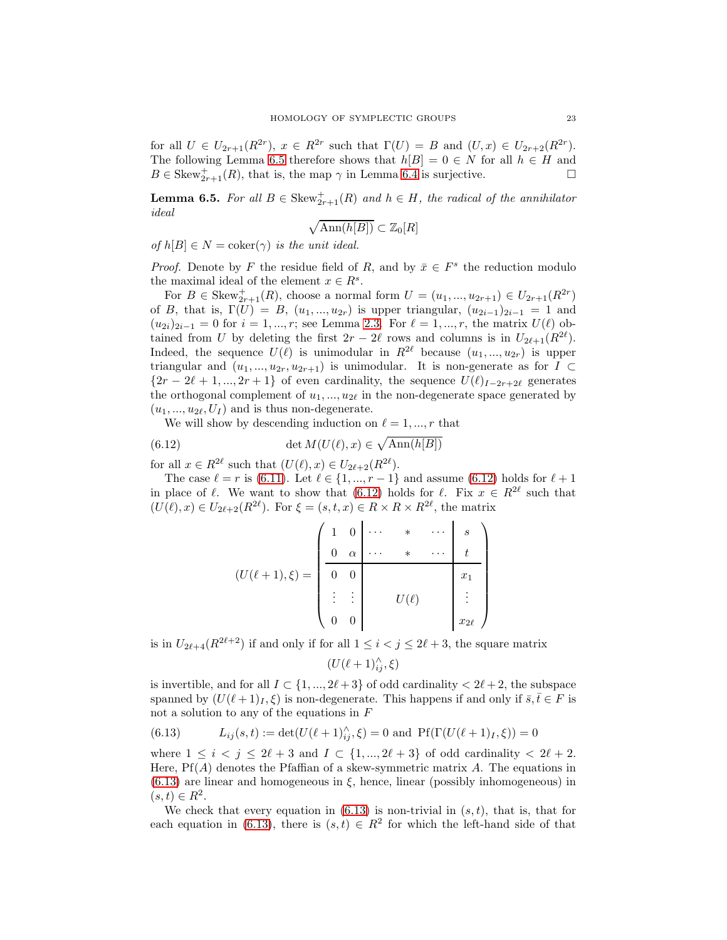for all  $U \in U_{2r+1}(R^{2r}), x \in R^{2r}$  such that  $\Gamma(U) = B$  and  $(U, x) \in U_{2r+2}(R^{2r}).$ The following Lemma [6.5](#page-22-0) therefore shows that  $h[B] = 0 \in N$  for all  $h \in H$  and  $B \in \text{Skew}_{2r+1}^+(R)$ , that is, the map  $\gamma$  in Lemma [6.4](#page-21-0) is surjective.

<span id="page-22-0"></span>**Lemma 6.5.** For all  $B \in \text{Skew}^+_{2r+1}(R)$  and  $h \in H$ , the radical of the annihilator ideal

$$
\sqrt{\mathrm{Ann}(h[B])} \subset \mathbb{Z}_0[R]
$$

of  $h[B] \in N = \text{coker}(\gamma)$  is the unit ideal.

*Proof.* Denote by F the residue field of R, and by  $\bar{x} \in F^s$  the reduction modulo the maximal ideal of the element  $x \in R^s$ .

For  $B \in \text{Skew}_{2r+1}^+(R)$ , choose a normal form  $U = (u_1, ..., u_{2r+1}) \in U_{2r+1}(R^{2r})$ of B, that is,  $\Gamma(U) = B$ ,  $(u_1, ..., u_{2r})$  is upper triangular,  $(u_{2i-1})_{2i-1} = 1$  and  $(u_{2i})_{2i-1} = 0$  for  $i = 1, ..., r$ ; see Lemma [2.3.](#page-3-0) For  $\ell = 1, ..., r$ , the matrix  $U(\ell)$  obtained from U by deleting the first  $2r - 2\ell$  rows and columns is in  $U_{2\ell+1}(R^{2\ell})$ . Indeed, the sequence  $U(\ell)$  is unimodular in  $R^{2\ell}$  because  $(u_1, ..., u_{2r})$  is upper triangular and  $(u_1, ..., u_{2r}, u_{2r+1})$  is unimodular. It is non-generate as for  $\overline{I} \subset$  ${2r-2\ell+1,...,2r+1}$  of even cardinality, the sequence  $U(\ell)_{I-2r+2\ell}$  generates the orthogonal complement of  $u_1, \ldots, u_{2\ell}$  in the non-degenerate space generated by  $(u_1, ..., u_{2\ell}, U_I)$  and is thus non-degenerate.

We will show by descending induction on  $\ell = 1, ..., r$  that

(6.12) 
$$
\det M(U(\ell), x) \in \sqrt{\text{Ann}(h[B])}
$$

for all  $x \in R^{2\ell}$  such that  $(U(\ell), x) \in U_{2\ell+2}(R^{2\ell})$ .

The case  $\ell = r$  is [\(6.11\)](#page-21-3). Let  $\ell \in \{1, ..., r-1\}$  and assume [\(6.12\)](#page-22-1) holds for  $\ell + 1$ in place of  $\ell$ . We want to show that [\(6.12\)](#page-22-1) holds for  $\ell$ . Fix  $x \in R^{2\ell}$  such that  $(U(\ell),x) \in U_{2\ell+2}(R^{2\ell}).$  For  $\xi = (s,t,x) \in R \times R \times R^{2\ell}$ , the matrix

<span id="page-22-1"></span>
$$
(U(\ell+1),\xi) = \begin{pmatrix} 1 & 0 & \cdots & * & \cdots & s \\ 0 & \alpha & \cdots & * & \cdots & t \\ 0 & 0 & & & & x_1 \\ \vdots & \vdots & & & & \\ 0 & 0 & & & & x_{2\ell} \end{pmatrix}
$$

is in  $U_{2\ell+4}(R^{2\ell+2})$  if and only if for all  $1 \leq i < j \leq 2\ell+3$ , the square matrix

 $(U(\ell+1)_{ij}^{\wedge},\xi)$ 

is invertible, and for all  $I \subset \{1, ..., 2\ell + 3\}$  of odd cardinality  $\langle 2\ell + 2, 2\rangle$  the subspace spanned by  $(U(\ell+1)_I,\xi)$  is non-degenerate. This happens if and only if  $\bar{s},\bar{t}\in F$  is not a solution to any of the equations in  $F$ 

<span id="page-22-2"></span>(6.13) 
$$
L_{ij}(s,t) := \det(U(\ell+1)_{ij}^{\wedge}, \xi) = 0 \text{ and } Pf(\Gamma(U(\ell+1)_I, \xi)) = 0
$$

where  $1 \leq i \leq j \leq 2\ell+3$  and  $I \subset \{1, ..., 2\ell+3\}$  of odd cardinality  $\leq 2\ell+2$ . Here,  $Pf(A)$  denotes the Pfaffian of a skew-symmetric matrix A. The equations in  $(6.13)$  are linear and homogeneous in  $\xi$ , hence, linear (possibly inhomogeneous) in  $(s, t) \in R^2$ .

We check that every equation in  $(6.13)$  is non-trivial in  $(s, t)$ , that is, that for each equation in [\(6.13\)](#page-22-2), there is  $(s,t) \in R^2$  for which the left-hand side of that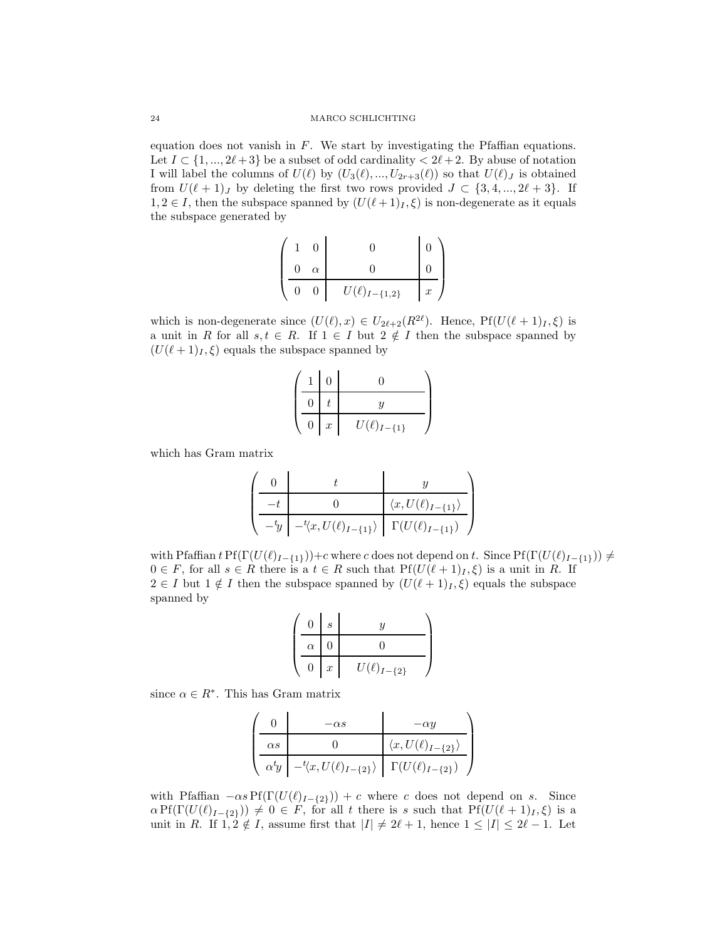equation does not vanish in  $F$ . We start by investigating the Pfaffian equations. Let  $I \subset \{1, ..., 2\ell + 3\}$  be a subset of odd cardinality  $\langle 2\ell + 2, B$  abuse of notation I will label the columns of  $U(\ell)$  by  $(U_3(\ell),...,U_{2r+3}(\ell))$  so that  $U(\ell)_J$  is obtained from  $U(\ell+1)_J$  by deleting the first two rows provided  $J \subset \{3, 4, ..., 2\ell+3\}$ . If  $1, 2 \in I$ , then the subspace spanned by  $(U(\ell+1)_I, \xi)$  is non-degenerate as it equals the subspace generated by

$$
\left(\begin{array}{cc|cc} 1 & 0 & & 0 & & 0 \\ 0 & \alpha & & 0 & & 0 \\ \hline 0 & 0 & & U(\ell)_{I-\{1,2\}} & x \end{array}\right)
$$

which is non-degenerate since  $(U(\ell),x) \in U_{2\ell+2}(R^{2\ell})$ . Hence,  $Pf(U(\ell+1)_I,\xi)$  is a unit in R for all  $s, t \in R$ . If  $1 \in I$  but  $2 \notin I$  then the subspace spanned by  $(U(\ell+1)_I, \xi)$  equals the subspace spanned by

|  |   | ∩                |                     |  |
|--|---|------------------|---------------------|--|
|  |   |                  |                     |  |
|  | 0 | $\boldsymbol{x}$ | $U(\ell)_{I-\{1\}}$ |  |

which has Gram matrix

$$
\left(\begin{array}{c|c} 0 & t & y \\ \hline -t & 0 & \langle x, U(\ell)_{I-\{1\}}\rangle \\ \hline -{}^t\!y & -{}^t\!\langle x, U(\ell)_{I-\{1\}}\rangle & \Gamma(U(\ell)_{I-\{1\}}) \end{array}\right)
$$

with Pfaffian  $tPf(\Gamma(U(\ell)_{I-\{1\}}))+c$  where c does not depend on t. Since  $Pf(\Gamma(U(\ell)_{I-\{1\}}))\neq$  $0 \in F$ , for all  $s \in R$  there is a  $t \in R$  such that  $Pf(U(\ell+1)_I, \xi)$  is a unit in R. If  $2 \in I$  but  $1 \notin I$  then the subspace spanned by  $(U(\ell+1)_I, \xi)$  equals the subspace spanned by

$$
\left(\begin{array}{c|c}\n0 & s & y \\
\hline\n\alpha & 0 & 0 \\
\hline\n0 & x & U(\ell)_{I-\{2\}}\n\end{array}\right)
$$

since  $\alpha \in R^*$ . This has Gram matrix

|               | $-\alpha s$                                                               | $-\alpha y$                           |
|---------------|---------------------------------------------------------------------------|---------------------------------------|
| $\alpha s$    |                                                                           | $\langle x, U(\ell)_{I-\{2\}}\rangle$ |
| $\alpha^t\!y$ | $-^{t}\langle x, U(\ell)_{I-\{2\}}\rangle \mid \Gamma(U(\ell)_{I-\{2\}})$ |                                       |

with Pfaffian  $-\alpha s \Pr(\Gamma(U(\ell)_{I-\{2\}})) + c$  where c does not depend on s. Since  $\alpha Pf(\Gamma(U(\ell)_{I-\{2\}})) \neq 0 \in F$ , for all t there is s such that  $Pf(U(\ell+1)_{I}, \xi)$  is a unit in R. If  $1, 2 \notin I$ , assume first that  $|I| \neq 2\ell + 1$ , hence  $1 \leq |I| \leq 2\ell - 1$ . Let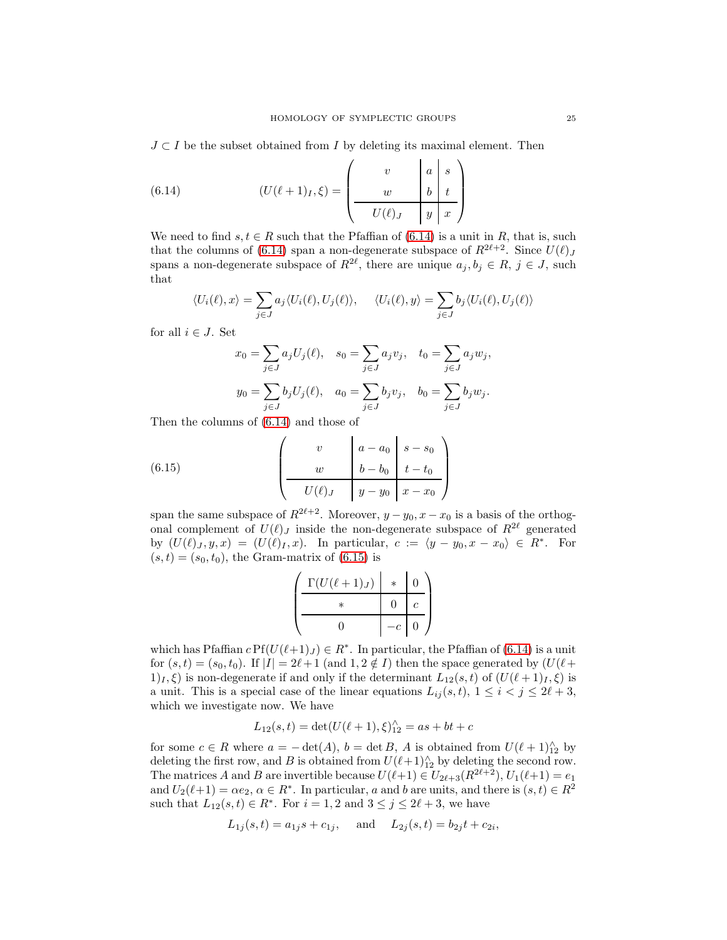$J \subset I$  be the subset obtained from I by deleting its maximal element. Then

<span id="page-24-0"></span>(6.14) 
$$
(U(\ell+1)_I, \xi) = \begin{pmatrix} v & a & s \\ w & b & t \\ \hline U(\ell)_J & y & x \end{pmatrix}
$$

We need to find  $s, t \in R$  such that the Pfaffian of [\(6.14\)](#page-24-0) is a unit in R, that is, such that the columns of [\(6.14\)](#page-24-0) span a non-degenerate subspace of  $R^{2\ell+2}$ . Since  $U(\ell)$ , spans a non-degenerate subspace of  $R^{2\ell}$ , there are unique  $a_j, b_j \in R$ ,  $j \in J$ , such that

$$
\langle U_i(\ell), x \rangle = \sum_{j \in J} a_j \langle U_i(\ell), U_j(\ell) \rangle, \quad \langle U_i(\ell), y \rangle = \sum_{j \in J} b_j \langle U_i(\ell), U_j(\ell) \rangle
$$

for all  $i \in J$ . Set

$$
x_0 = \sum_{j \in J} a_j U_j(\ell), \quad s_0 = \sum_{j \in J} a_j v_j, \quad t_0 = \sum_{j \in J} a_j w_j,
$$

$$
y_0 = \sum_{j \in J} b_j U_j(\ell), \quad a_0 = \sum_{j \in J} b_j v_j, \quad b_0 = \sum_{j \in J} b_j w_j.
$$

Then the columns of [\(6.14\)](#page-24-0) and those of

(6.15) 
$$
\begin{pmatrix} v & a - a_0 & s - s_0 \ w & b - b_0 & t - t_0 \ \hline U(\ell)J & y - y_0 & x - x_0 \end{pmatrix}
$$

span the same subspace of  $R^{2\ell+2}$ . Moreover,  $y - y_0$ ,  $x - x_0$  is a basis of the orthogonal complement of  $U(\ell)_J$  inside the non-degenerate subspace of  $R^{2\ell}$  generated by  $(U(\ell)_J, y, x) = (U(\ell)_I, x)$ . In particular,  $c := \langle y - y_0, x - x_0 \rangle \in R^*$ . For  $(s, t) = (s_0, t_0)$ , the Gram-matrix of  $(6.15)$  is

<span id="page-24-1"></span>
$$
\left(\begin{array}{c|c}\Gamma(U(\ell+1)_J) & * & 0 \\
\hline & * & 0 & c \\
\hline & 0 & -c & 0\n\end{array}\right)
$$

which has Pfaffian  $c \text{Pf}(U(\ell+1)_J) \in R^*$ . In particular, the Pfaffian of [\(6.14\)](#page-24-0) is a unit for  $(s, t) = (s_0, t_0)$ . If  $|I| = 2\ell + 1$  (and  $1, 2 \notin I$ ) then the space generated by  $(U(\ell +$  $1<sub>I</sub>, \xi$  is non-degenerate if and only if the determinant  $L_{12}(s, t)$  of  $(U(\ell + 1)<sub>I</sub>, \xi)$  is a unit. This is a special case of the linear equations  $L_{ij}(s,t)$ ,  $1 \leq i < j \leq 2\ell + 3$ , which we investigate now. We have

$$
L_{12}(s,t) = \det(U(\ell+1),\xi)_{12}^{\wedge} = as + bt + c
$$

for some  $c \in R$  where  $a = -\det(A)$ ,  $b = \det B$ , A is obtained from  $U(\ell+1)_{12}^{\wedge}$  by deleting the first row, and B is obtained from  $U(\ell+1)_{12}^{\wedge}$  by deleting the second row. The matrices A and B are invertible because  $U(\ell+1) \in U_{2\ell+3}(R^{2\ell+2}), U_1(\ell+1) = e_1$ and  $U_2(\ell+1) = \alpha e_2, \, \alpha \in R^*$ . In particular, a and b are units, and there is  $(s, t) \in R^2$ such that  $L_{12}(s,t) \in R^*$ . For  $i = 1,2$  and  $3 \le j \le 2\ell + 3$ , we have

$$
L_{1j}(s,t) = a_{1j}s + c_{1j}
$$
, and  $L_{2j}(s,t) = b_{2j}t + c_{2i}$ ,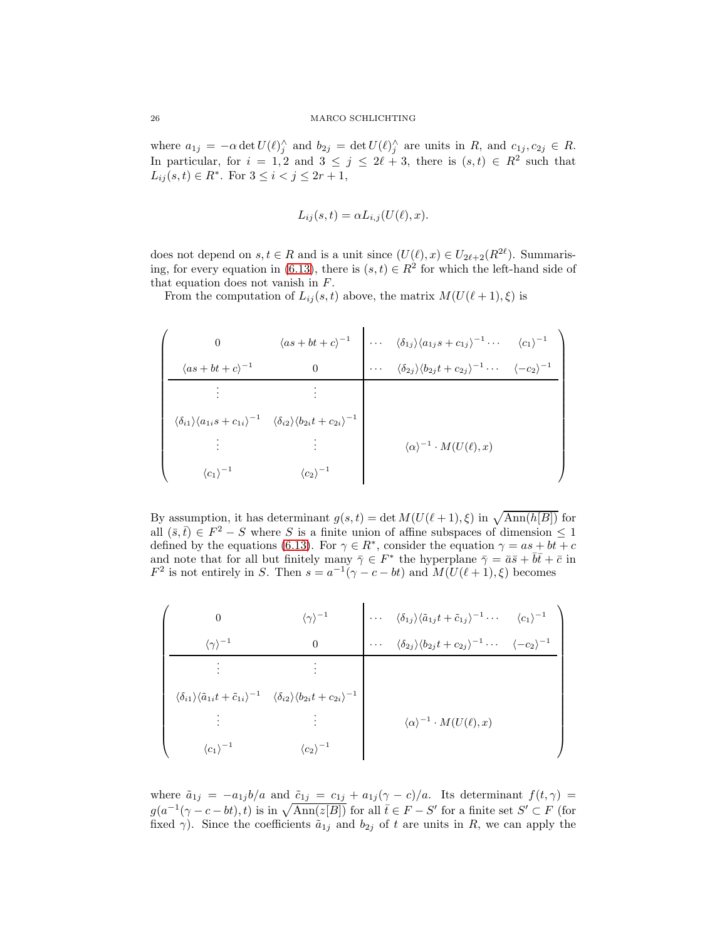where  $a_{1j} = -\alpha \det U(\ell)_{j}^{\wedge}$  and  $b_{2j} = \det U(\ell)_{j}^{\wedge}$  are units in R, and  $c_{1j}, c_{2j} \in R$ . In particular, for  $i = 1, 2$  and  $3 \leq j \leq 2\ell + 3$ , there is  $(s, t) \in R^2$  such that  $L_{ij}(s,t) \in R^*$ . For  $3 \le i < j \le 2r+1$ ,

$$
L_{ij}(s,t) = \alpha L_{i,j}(U(\ell),x).
$$

does not depend on  $s, t \in R$  and is a unit since  $(U(\ell), x) \in U_{2\ell+2}(R^{2\ell})$ . Summaris-ing, for every equation in [\(6.13\)](#page-22-2), there is  $(s,t) \in R^2$  for which the left-hand side of that equation does not vanish in F.

From the computation of  $L_{ij}(s,t)$  above, the matrix  $M(U(\ell+1),\xi)$  is

| $\Omega$                      |                                                                                                                                               | $\langle as+bt+c\rangle^{-1} \quad \Big  \, \cdots \quad \langle \delta_{1j}\rangle \langle a_{1j}s+c_{1j}\rangle^{-1} \cdots \quad \langle c_1\rangle^{-1}$ |  |
|-------------------------------|-----------------------------------------------------------------------------------------------------------------------------------------------|--------------------------------------------------------------------------------------------------------------------------------------------------------------|--|
| $\langle as+bt+c\rangle^{-1}$ |                                                                                                                                               | $\cdots \quad \langle \delta_{2j} \rangle \langle b_{2j} t + c_{2j} \rangle^{-1} \cdots \quad \langle -c_2 \rangle^{-1}$                                     |  |
|                               |                                                                                                                                               |                                                                                                                                                              |  |
|                               | $\langle \delta_{i1} \rangle \langle a_{1i} s + c_{1i} \rangle^{-1} \quad \langle \delta_{i2} \rangle \langle b_{2i} t + c_{2i} \rangle^{-1}$ |                                                                                                                                                              |  |
|                               |                                                                                                                                               | $\langle \alpha \rangle^{-1} \cdot M(U(\ell),x)$                                                                                                             |  |
| $\langle c_1\rangle^{-1}$     | $\langle c_2\rangle^{-1}$                                                                                                                     |                                                                                                                                                              |  |

By assumption, it has determinant  $g(s,t) = \det M(U(\ell+1), \xi)$  in  $\sqrt{\text{Ann}(h[B])}$  for all  $(\bar{s},\bar{t}) \in F^2 - S$  where S is a finite union of affine subspaces of dimension  $\leq 1$ defined by the equations [\(6.13\)](#page-22-2). For  $\gamma \in \mathbb{R}^*$ , consider the equation  $\gamma = as + bt + c$ and note that for all but finitely many  $\bar{\gamma} \in F^*$  the hyperplane  $\bar{\gamma} = \bar{a}\bar{s} + \bar{b}\bar{t} + \bar{c}$  in  $F^2$  is not entirely in S. Then  $s = a^{-1}(\gamma - c - bt)$  and  $M(U(\ell + 1), \xi)$  becomes

$$
\begin{pmatrix}\n0 & \langle \gamma \rangle^{-1} & \cdots & \langle \delta_{1j} \rangle \langle \tilde{a}_{1j} t + \tilde{c}_{1j} \rangle^{-1} \cdots & \langle c_1 \rangle^{-1} \\
\vdots & \vdots & \ddots & \vdots \\
\langle \delta_{i1} \rangle \langle \tilde{a}_{1i} t + \tilde{c}_{1i} \rangle^{-1} & \langle \delta_{i2} \rangle \langle b_{2i} t + c_{2i} \rangle^{-1} & \langle \delta_{i3} \rangle \langle b_{2j} t + c_{2j} \rangle^{-1} \cdots & \langle -c_2 \rangle^{-1} \\
\vdots & \vdots & \ddots & \vdots \\
\langle \delta_{i1} \rangle \langle \tilde{a}_{1i} t + \tilde{c}_{1i} \rangle^{-1} & \langle \delta_{i2} \rangle \langle b_{2i} t + c_{2i} \rangle^{-1} & \langle \alpha \rangle^{-1} \cdot M(U(\ell), x) \\
\langle c_1 \rangle^{-1} & \langle c_2 \rangle^{-1}\n\end{pmatrix}
$$

where  $\tilde{a}_{1j} = -a_{1j}b/a$  and  $\tilde{c}_{1j} = c_{1j} + a_{1j}(\gamma - c)/a$ . Its determinant  $f(t, \gamma) =$  $g(a^{-1}(\gamma - c - bt), t)$  is in  $\sqrt{\text{Ann}(z[B])}$  for all  $\bar{t} \in F - S'$  for a finite set  $S' \subset F$  (for fixed  $\gamma$ ). Since the coefficients  $\tilde{a}_{1j}$  and  $b_{2j}$  of t are units in R, we can apply the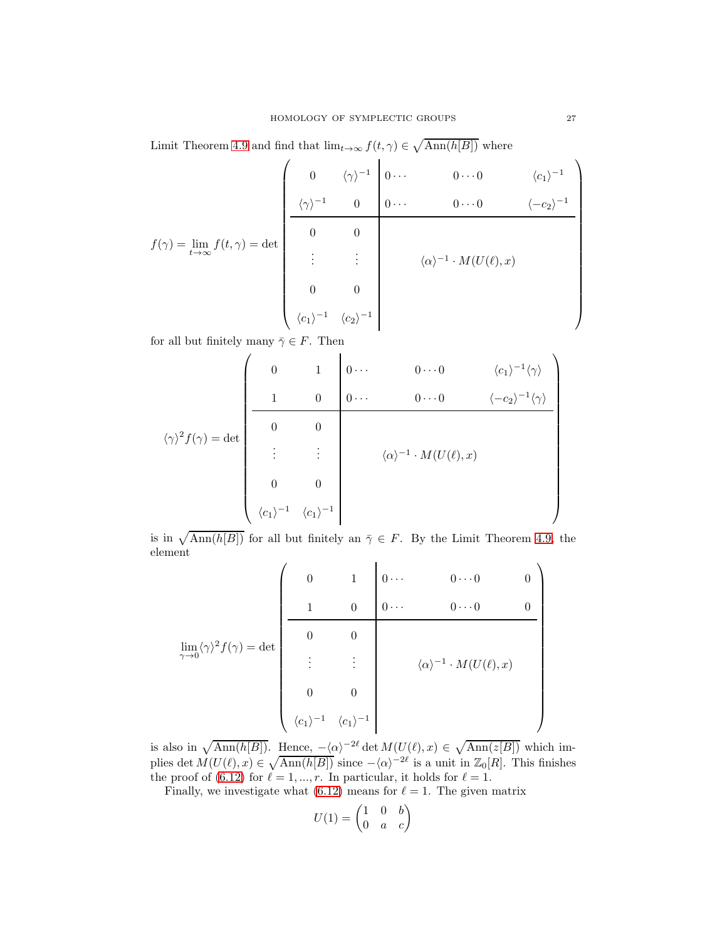Limit Theorem [4.9](#page-10-0) and find that  $\lim_{t\to\infty} f(t,\gamma) \in \sqrt{\text{Ann}(h[B])}$  where

$$
f(\gamma) = \lim_{t \to \infty} f(t, \gamma) = \det \begin{pmatrix} 0 & \langle \gamma \rangle^{-1} & 0 & \cdots & 0 \cdots 0 & \langle c_1 \rangle^{-1} \\ \frac{\langle \gamma \rangle^{-1} & 0 & 0 \cdots & 0 \cdots 0 & \langle -c_2 \rangle^{-1}}{0} \\ \vdots & \vdots & \vdots & \langle \alpha \rangle^{-1} \cdot M(U(\ell), x) \\ 0 & 0 & \langle c_1 \rangle^{-1} & \langle c_2 \rangle^{-1} \end{pmatrix}
$$

for all but finitely many  $\bar{\gamma} \in F$ . Then

$$
\langle \gamma \rangle^2 f(\gamma) = \det \begin{pmatrix} 0 & 1 & 0 & \cdots & 0 & \cdots & 0 & \langle c_1 \rangle^{-1} \langle \gamma \rangle \\ 1 & 0 & 0 & \cdots & 0 & \cdots & 0 & \langle -c_2 \rangle^{-1} \langle \gamma \rangle \\ 0 & 0 & & & & \\ \vdots & \vdots & & & \langle \alpha \rangle^{-1} \cdot M(U(\ell), x) \\ 0 & 0 & & & \\ \langle c_1 \rangle^{-1} & \langle c_1 \rangle^{-1} \end{pmatrix}
$$

is in  $\sqrt{\text{Ann}(h[B])}$  for all but finitely an  $\overline{\gamma} \in F$ . By the Limit Theorem [4.9,](#page-10-0) the element

$$
\lim_{\gamma \to 0} \langle \gamma \rangle^2 f(\gamma) = \det \begin{pmatrix} 0 & 1 & 0 & \cdots & 0 \cdots & 0 & 0 \\ & 1 & 0 & 0 & \cdots & 0 \cdots & 0 & 0 \\ & & & & & \\ 0 & 0 & & & & \\ & & & & & \\ 0 & 0 & & & & \\ & & & & & \\ \langle c_1 \rangle^{-1} & \langle c_1 \rangle^{-1} & & \\ \end{pmatrix}
$$

is also in  $\sqrt{\text{Ann}(h[B])}$ . Hence,  $-\langle \alpha \rangle^{-2\ell} \det M(U(\ell), x) \in \sqrt{\text{Ann}(z[B])}$  which implies det  $M(U(\ell),x) \in \sqrt{\text{Ann}(h[B])}$  since  $-\langle \alpha \rangle^{-2\ell}$  is a unit in  $\mathbb{Z}_0[R]$ . This finishes the proof of [\(6.12\)](#page-22-1) for  $\ell = 1, ..., r$ . In particular, it holds for  $\ell = 1$ .

Finally, we investigate what  $(6.12)$  means for  $\ell = 1$ . The given matrix

$$
U(1) = \begin{pmatrix} 1 & 0 & b \\ 0 & a & c \end{pmatrix}
$$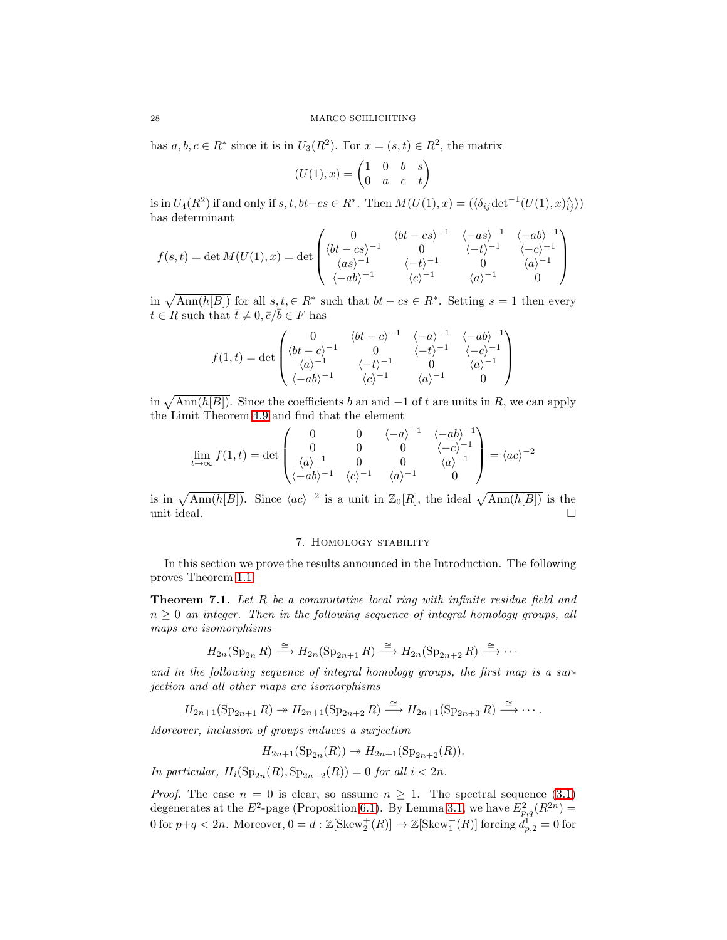has  $a, b, c \in \mathbb{R}^*$  since it is in  $U_3(\mathbb{R}^2)$ . For  $x = (s, t) \in \mathbb{R}^2$ , the matrix

$$
(U(1),x) = \begin{pmatrix} 1 & 0 & b & s \\ 0 & a & c & t \end{pmatrix}
$$

is in  $U_4(R^2)$  if and only if  $s, t, bt-cs \in R^*$ . Then  $M(U(1), x) = (\langle \delta_{ij} \det^{-1}(U(1), x)_{ij} \rangle)$ has determinant

$$
f(s,t) = \det M(U(1),x) = \det \begin{pmatrix} 0 & \langle bt-cs \rangle^{-1} & \langle -as \rangle^{-1} & \langle -ab \rangle^{-1} \\ \langle bt-cs \rangle^{-1} & 0 & \langle -t \rangle^{-1} & \langle -c \rangle^{-1} \\ \langle as \rangle^{-1} & \langle -t \rangle^{-1} & 0 & \langle a \rangle^{-1} \\ \langle -ab \rangle^{-1} & \langle c \rangle^{-1} & \langle a \rangle^{-1} & 0 \end{pmatrix}
$$

in  $\sqrt{\text{Ann}(h[B])}$  for all  $s, t \in \mathbb{R}^*$  such that  $bt - cs \in \mathbb{R}^*$ . Setting  $s = 1$  then every  $t \in \mathbb{R}$  such that  $\bar{t} \neq 0, \bar{c}/\bar{b} \in \mathbb{F}$  has

$$
f(1,t) = \det \begin{pmatrix} 0 & \langle bt-c \rangle^{-1} & \langle -a \rangle^{-1} & \langle -ab \rangle^{-1} \\ \langle bt-c \rangle^{-1} & 0 & \langle -t \rangle^{-1} & \langle -c \rangle^{-1} \\ \langle a \rangle^{-1} & \langle -t \rangle^{-1} & 0 & \langle a \rangle^{-1} \\ \langle -ab \rangle^{-1} & \langle c \rangle^{-1} & \langle a \rangle^{-1} & 0 \end{pmatrix}
$$

in  $\sqrt{\text{Ann}(h[B])}$ . Since the coefficients b an and -1 of t are units in R, we can apply the Limit Theorem [4.9](#page-10-0) and find that the element

$$
\lim_{t \to \infty} f(1, t) = \det \begin{pmatrix} 0 & 0 & \langle -a \rangle^{-1} & \langle -ab \rangle^{-1} \\ 0 & 0 & 0 & \langle -c \rangle^{-1} \\ \langle a \rangle^{-1} & 0 & 0 & \langle a \rangle^{-1} \\ \langle -ab \rangle^{-1} & \langle c \rangle^{-1} & \langle a \rangle^{-1} & 0 \end{pmatrix} = \langle ac \rangle^{-2}
$$

<span id="page-27-0"></span>is in  $\sqrt{\text{Ann}(h[B])}$ . Since  $\langle ac \rangle^{-2}$  is a unit in  $\mathbb{Z}_0[R]$ , the ideal  $\sqrt{\text{Ann}(h[B])}$  is the unit ideal.  $\Box$ 

## 7. Homology stability

In this section we prove the results announced in the Introduction. The following proves Theorem [1.1.](#page-0-4)

<span id="page-27-1"></span>**Theorem 7.1.** Let R be a commutative local ring with infinite residue field and  $n \geq 0$  an integer. Then in the following sequence of integral homology groups, all maps are isomorphisms

$$
H_{2n}(\mathrm{Sp}_{2n}R) \xrightarrow{\cong} H_{2n}(\mathrm{Sp}_{2n+1}R) \xrightarrow{\cong} H_{2n}(\mathrm{Sp}_{2n+2}R) \xrightarrow{\cong} \cdots
$$

and in the following sequence of integral homology groups, the first map is a surjection and all other maps are isomorphisms

 $H_{2n+1}(\mathrm{Sp}_{2n+1} R) \twoheadrightarrow H_{2n+1}(\mathrm{Sp}_{2n+2} R) \stackrel{\cong}{\longrightarrow} H_{2n+1}(\mathrm{Sp}_{2n+3} R) \stackrel{\cong}{\longrightarrow} \cdots$ 

Moreover, inclusion of groups induces a surjection

 $H_{2n+1}(\mathrm{Sp}_{2n}(R)) \to H_{2n+1}(\mathrm{Sp}_{2n+2}(R)).$ 

In particular,  $H_i(\mathrm{Sp}_{2n}(R), \mathrm{Sp}_{2n-2}(R)) = 0$  for all  $i < 2n$ .

*Proof.* The case  $n = 0$  is clear, so assume  $n \geq 1$ . The spectral sequence [\(3.1\)](#page-4-1) degenerates at the  $E^2$ -page (Proposition [6.1\)](#page-17-1). By Lemma [3.1,](#page-4-3) we have  $E_{p,q}^2(R^{2n}) =$ 0 for  $p+q < 2n$ . Moreover,  $0 = d : \mathbb{Z}[\text{Skew}_2^+(R)] \to \mathbb{Z}[\text{Skew}_1^+(R)]$  forcing  $d_{p,2}^1 = 0$  for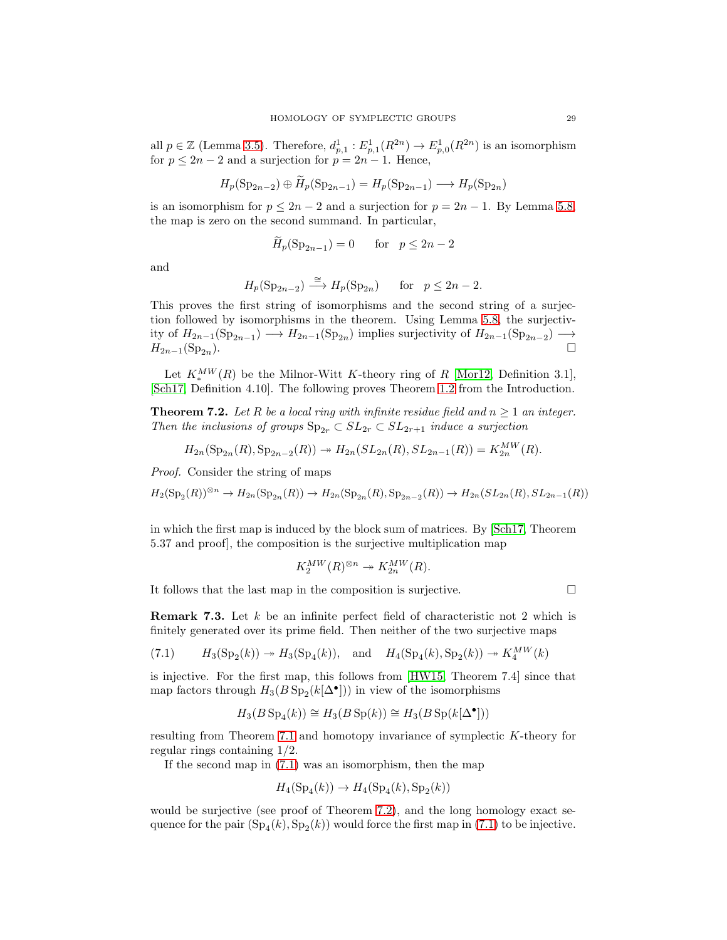all  $p \in \mathbb{Z}$  (Lemma [3.5\)](#page-6-2). Therefore,  $d_{p,1}^1 : E_{p,1}^1(R^{2n}) \to E_{p,0}^1(R^{2n})$  is an isomorphism for  $p \leq 2n - 2$  and a surjection for  $p = 2n - 1$ . Hence,

$$
H_p(\mathrm{Sp}_{2n-2}) \oplus H_p(\mathrm{Sp}_{2n-1}) = H_p(\mathrm{Sp}_{2n-1}) \longrightarrow H_p(\mathrm{Sp}_{2n})
$$

is an isomorphism for  $p \leq 2n-2$  and a surjection for  $p = 2n - 1$ . By Lemma [5.8,](#page-15-1) the map is zero on the second summand. In particular,

$$
H_p(\text{Sp}_{2n-1}) = 0 \quad \text{for} \quad p \le 2n - 2
$$

and

$$
H_p(\mathrm{Sp}_{2n-2}) \stackrel{\cong}{\longrightarrow} H_p(\mathrm{Sp}_{2n}) \quad \text{for} \quad p \le 2n-2.
$$

This proves the first string of isomorphisms and the second string of a surjection followed by isomorphisms in the theorem. Using Lemma [5.8,](#page-15-1) the surjectivity of  $H_{2n-1}(\mathrm{Sp}_{2n-1}) \longrightarrow H_{2n-1}(\mathrm{Sp}_{2n})$  implies surjectivity of  $H_{2n-1}(\mathrm{Sp}_{2n-2}) \longrightarrow$  $H_{2n-1}(Sp_{2n}).$ ).  $\Box$ 

Let  $K^{MW}_{*}(R)$  be the Milnor-Witt K-theory ring of R [\[Mor12,](#page-29-8) Definition 3.1], [\[Sch17,](#page-29-7) Definition 4.10]. The following proves Theorem [1.2](#page-1-2) from the Introduction.

<span id="page-28-0"></span>**Theorem 7.2.** Let R be a local ring with infinite residue field and  $n \geq 1$  an integer. Then the inclusions of groups  $\text{Sp}_{2r} \subset SL_{2r} \subset SL_{2r+1}$  induce a surjection

$$
H_{2n}(\mathrm{Sp}_{2n}(R), \mathrm{Sp}_{2n-2}(R)) \twoheadrightarrow H_{2n}(SL_{2n}(R), SL_{2n-1}(R)) = K_{2n}^{MW}(R).
$$

Proof. Consider the string of maps

 $H_2(\text{Sp}_2(R))^{\otimes n} \to H_{2n}(\text{Sp}_{2n}(R)) \to H_{2n}(\text{Sp}_{2n}(R), \text{Sp}_{2n-2}(R)) \to H_{2n}(SL_{2n}(R), SL_{2n-1}(R))$ 

in which the first map is induced by the block sum of matrices. By [\[Sch17,](#page-29-7) Theorem 5.37 and proof], the composition is the surjective multiplication map

$$
K_2^{MW}(R)^{\otimes n} \twoheadrightarrow K_{2n}^{MW}(R).
$$

It follows that the last map in the composition is surjective.  $\Box$ 

<span id="page-28-1"></span>**Remark 7.3.** Let k be an infinite perfect field of characteristic not 2 which is finitely generated over its prime field. Then neither of the two surjective maps

<span id="page-28-2"></span>(7.1) 
$$
H_3(Sp_2(k)) \to H_3(Sp_4(k))
$$
, and  $H_4(Sp_4(k), Sp_2(k)) \to K_4^{MW}(k)$ 

is injective. For the first map, this follows from [\[HW15,](#page-29-11) Theorem 7.4] since that map factors through  $H_3(B \text{ Sp}_2(k[\Delta^\bullet]))$  in view of the isomorphisms

$$
H_3(B\operatorname{Sp}_4(k))\cong H_3(B\operatorname{Sp}(k))\cong H_3(B\operatorname{Sp}(k[\Delta^\bullet]))
$$

resulting from Theorem [7.1](#page-27-1) and homotopy invariance of symplectic K-theory for regular rings containing 1/2.

If the second map in [\(7.1\)](#page-28-2) was an isomorphism, then the map

$$
H_4(\mathrm{Sp}_4(k)) \to H_4(\mathrm{Sp}_4(k), \mathrm{Sp}_2(k))
$$

would be surjective (see proof of Theorem [7.2\)](#page-28-0), and the long homology exact sequence for the pair  $(Sp_4(k), Sp_2(k))$  would force the first map in [\(7.1\)](#page-28-2) to be injective.